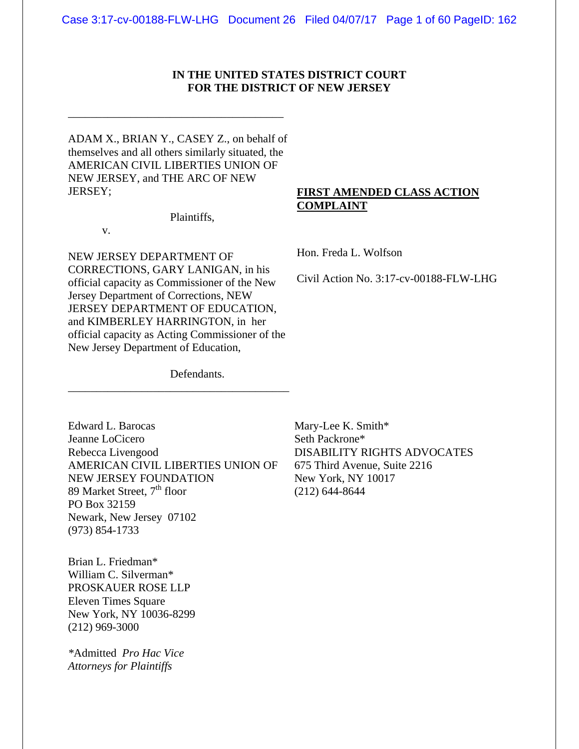# **IN THE UNITED STATES DISTRICT COURT FOR THE DISTRICT OF NEW JERSEY**

ADAM X., BRIAN Y., CASEY Z., on behalf of themselves and all others similarly situated, the AMERICAN CIVIL LIBERTIES UNION OF NEW JERSEY, and THE ARC OF NEW JERSEY;

\_\_\_\_\_\_\_\_\_\_\_\_\_\_\_\_\_\_\_\_\_\_\_\_\_\_\_\_\_\_\_\_\_\_\_\_\_\_

# **FIRST AMENDED CLASS ACTION COMPLAINT**

Plaintiffs,

v.

NEW JERSEY DEPARTMENT OF CORRECTIONS, GARY LANIGAN, in his official capacity as Commissioner of the New Jersey Department of Corrections, NEW JERSEY DEPARTMENT OF EDUCATION, and KIMBERLEY HARRINGTON, in her official capacity as Acting Commissioner of the New Jersey Department of Education,

\_\_\_\_\_\_\_\_\_\_\_\_\_\_\_\_\_\_\_\_\_\_\_\_\_\_\_\_\_\_\_\_\_\_\_\_\_\_\_

Hon. Freda L. Wolfson

Civil Action No. 3:17-cv-00188-FLW-LHG

Defendants.

Edward L. Barocas Jeanne LoCicero Rebecca Livengood AMERICAN CIVIL LIBERTIES UNION OF NEW JERSEY FOUNDATION 89 Market Street,  $7<sup>th</sup>$  floor PO Box 32159 Newark, New Jersey 07102 (973) 854-1733

Brian L. Friedman\* William C. Silverman\* PROSKAUER ROSE LLP Eleven Times Square New York, NY 10036-8299 (212) 969-3000

*\**Admitted *Pro Hac Vice Attorneys for Plaintiffs* 

Mary-Lee K. Smith\* Seth Packrone\* DISABILITY RIGHTS ADVOCATES 675 Third Avenue, Suite 2216 New York, NY 10017 (212) 644-8644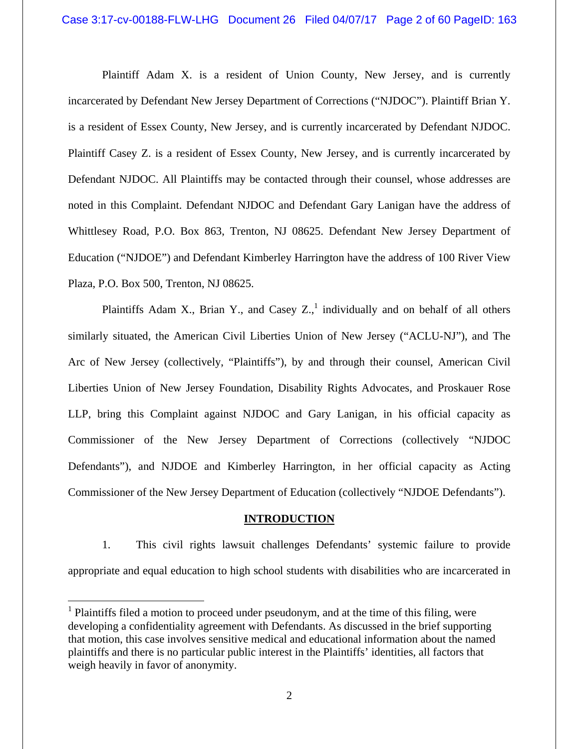Plaintiff Adam X. is a resident of Union County, New Jersey, and is currently incarcerated by Defendant New Jersey Department of Corrections ("NJDOC"). Plaintiff Brian Y. is a resident of Essex County, New Jersey, and is currently incarcerated by Defendant NJDOC. Plaintiff Casey Z. is a resident of Essex County, New Jersey, and is currently incarcerated by Defendant NJDOC. All Plaintiffs may be contacted through their counsel, whose addresses are noted in this Complaint. Defendant NJDOC and Defendant Gary Lanigan have the address of Whittlesey Road, P.O. Box 863, Trenton, NJ 08625. Defendant New Jersey Department of Education ("NJDOE") and Defendant Kimberley Harrington have the address of 100 River View Plaza, P.O. Box 500, Trenton, NJ 08625.

Plaintiffs Adam X., Brian Y., and Casey  $Z_{n}$ , individually and on behalf of all others similarly situated, the American Civil Liberties Union of New Jersey ("ACLU-NJ"), and The Arc of New Jersey (collectively, "Plaintiffs"), by and through their counsel, American Civil Liberties Union of New Jersey Foundation, Disability Rights Advocates, and Proskauer Rose LLP, bring this Complaint against NJDOC and Gary Lanigan, in his official capacity as Commissioner of the New Jersey Department of Corrections (collectively "NJDOC Defendants"), and NJDOE and Kimberley Harrington, in her official capacity as Acting Commissioner of the New Jersey Department of Education (collectively "NJDOE Defendants").

## **INTRODUCTION**

1. This civil rights lawsuit challenges Defendants' systemic failure to provide appropriate and equal education to high school students with disabilities who are incarcerated in

 $\overline{a}$ 

 $<sup>1</sup>$  Plaintiffs filed a motion to proceed under pseudonym, and at the time of this filing, were</sup> developing a confidentiality agreement with Defendants. As discussed in the brief supporting that motion, this case involves sensitive medical and educational information about the named plaintiffs and there is no particular public interest in the Plaintiffs' identities, all factors that weigh heavily in favor of anonymity.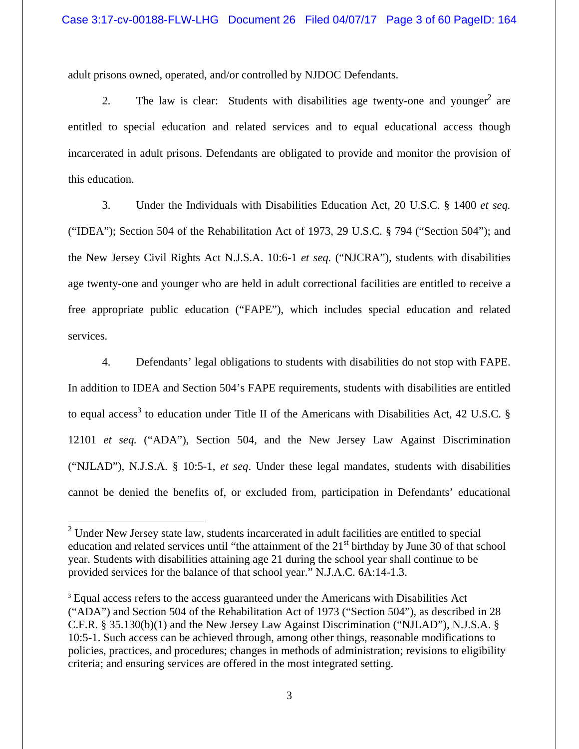adult prisons owned, operated, and/or controlled by NJDOC Defendants.

2. The law is clear: Students with disabilities age twenty-one and younger<sup>2</sup> are entitled to special education and related services and to equal educational access though incarcerated in adult prisons. Defendants are obligated to provide and monitor the provision of this education.

3. Under the Individuals with Disabilities Education Act, 20 U.S.C. § 1400 *et seq.* ("IDEA"); Section 504 of the Rehabilitation Act of 1973, 29 U.S.C. § 794 ("Section 504"); and the New Jersey Civil Rights Act N.J.S.A. 10:6-1 *et seq.* ("NJCRA"), students with disabilities age twenty-one and younger who are held in adult correctional facilities are entitled to receive a free appropriate public education ("FAPE"), which includes special education and related services.

4. Defendants' legal obligations to students with disabilities do not stop with FAPE. In addition to IDEA and Section 504's FAPE requirements, students with disabilities are entitled to equal access<sup>3</sup> to education under Title II of the Americans with Disabilities Act, 42 U.S.C.  $\S$ 12101 *et seq.* ("ADA"), Section 504, and the New Jersey Law Against Discrimination ("NJLAD"), N.J.S.A. § 10:5-1, *et seq*. Under these legal mandates, students with disabilities cannot be denied the benefits of, or excluded from, participation in Defendants' educational

 $\overline{a}$ 

 $2$  Under New Jersey state law, students incarcerated in adult facilities are entitled to special education and related services until "the attainment of the  $21<sup>st</sup>$  birthday by June 30 of that school year. Students with disabilities attaining age 21 during the school year shall continue to be provided services for the balance of that school year." N.J.A.C. 6A:14-1.3.

<sup>3</sup> Equal access refers to the access guaranteed under the Americans with Disabilities Act ("ADA") and Section 504 of the Rehabilitation Act of 1973 ("Section 504"), as described in 28 C.F.R. § 35.130(b)(1) and the New Jersey Law Against Discrimination ("NJLAD"), N.J.S.A. § 10:5-1. Such access can be achieved through, among other things, reasonable modifications to policies, practices, and procedures; changes in methods of administration; revisions to eligibility criteria; and ensuring services are offered in the most integrated setting.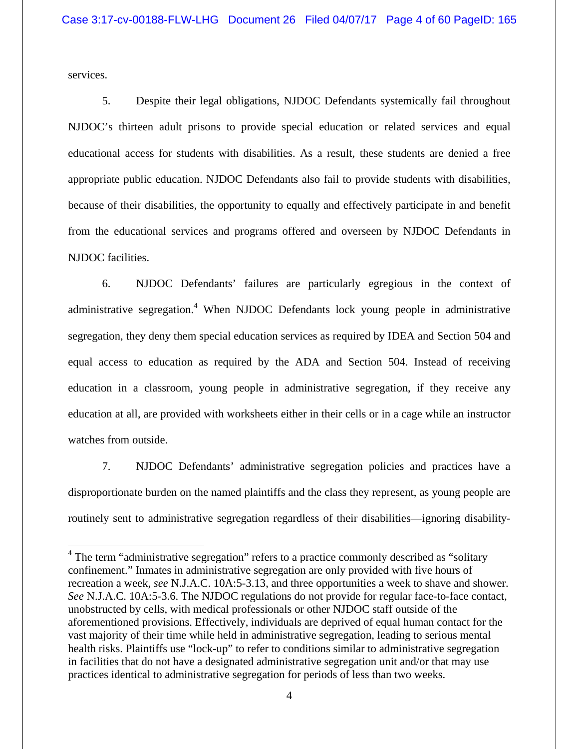services.

 $\overline{a}$ 

5. Despite their legal obligations, NJDOC Defendants systemically fail throughout NJDOC's thirteen adult prisons to provide special education or related services and equal educational access for students with disabilities. As a result, these students are denied a free appropriate public education. NJDOC Defendants also fail to provide students with disabilities, because of their disabilities, the opportunity to equally and effectively participate in and benefit from the educational services and programs offered and overseen by NJDOC Defendants in NJDOC facilities.

6. NJDOC Defendants' failures are particularly egregious in the context of administrative segregation.<sup>4</sup> When NJDOC Defendants lock young people in administrative segregation, they deny them special education services as required by IDEA and Section 504 and equal access to education as required by the ADA and Section 504. Instead of receiving education in a classroom, young people in administrative segregation, if they receive any education at all, are provided with worksheets either in their cells or in a cage while an instructor watches from outside.

7. NJDOC Defendants' administrative segregation policies and practices have a disproportionate burden on the named plaintiffs and the class they represent, as young people are routinely sent to administrative segregation regardless of their disabilities—ignoring disability-

<sup>&</sup>lt;sup>4</sup> The term "administrative segregation" refers to a practice commonly described as "solitary confinement." Inmates in administrative segregation are only provided with five hours of recreation a week, *see* N.J.A.C. 10A:5-3.13, and three opportunities a week to shave and shower. *See* N.J.A.C. 10A:5-3.6. The NJDOC regulations do not provide for regular face-to-face contact, unobstructed by cells, with medical professionals or other NJDOC staff outside of the aforementioned provisions. Effectively, individuals are deprived of equal human contact for the vast majority of their time while held in administrative segregation, leading to serious mental health risks. Plaintiffs use "lock-up" to refer to conditions similar to administrative segregation in facilities that do not have a designated administrative segregation unit and/or that may use practices identical to administrative segregation for periods of less than two weeks.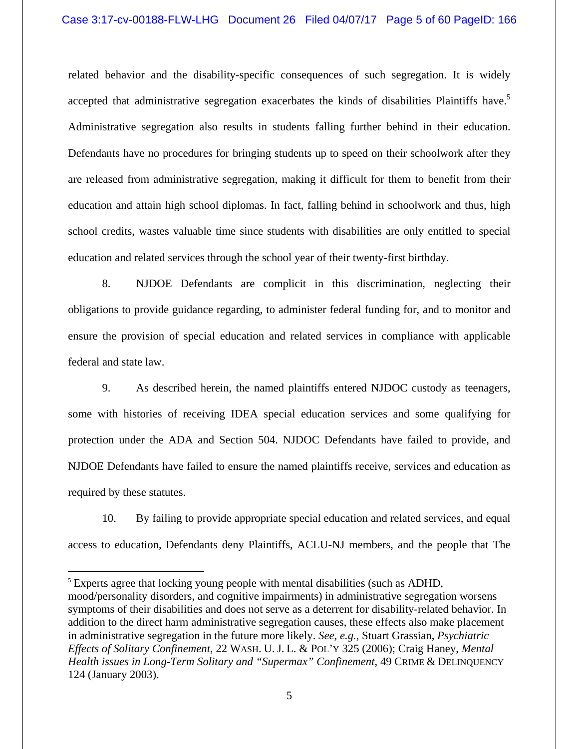## Case 3:17-cv-00188-FLW-LHG Document 26 Filed 04/07/17 Page 5 of 60 PageID: 166

related behavior and the disability-specific consequences of such segregation. It is widely accepted that administrative segregation exacerbates the kinds of disabilities Plaintiffs have.<sup>5</sup> Administrative segregation also results in students falling further behind in their education. Defendants have no procedures for bringing students up to speed on their schoolwork after they are released from administrative segregation, making it difficult for them to benefit from their education and attain high school diplomas. In fact, falling behind in schoolwork and thus, high school credits, wastes valuable time since students with disabilities are only entitled to special education and related services through the school year of their twenty-first birthday.

8. NJDOE Defendants are complicit in this discrimination, neglecting their obligations to provide guidance regarding, to administer federal funding for, and to monitor and ensure the provision of special education and related services in compliance with applicable federal and state law.

9. As described herein, the named plaintiffs entered NJDOC custody as teenagers, some with histories of receiving IDEA special education services and some qualifying for protection under the ADA and Section 504. NJDOC Defendants have failed to provide, and NJDOE Defendants have failed to ensure the named plaintiffs receive, services and education as required by these statutes.

10. By failing to provide appropriate special education and related services, and equal access to education, Defendants deny Plaintiffs, ACLU-NJ members, and the people that The

 $\overline{a}$ 

<sup>&</sup>lt;sup>5</sup> Experts agree that locking young people with mental disabilities (such as ADHD, mood/personality disorders, and cognitive impairments) in administrative segregation worsens symptoms of their disabilities and does not serve as a deterrent for disability-related behavior. In addition to the direct harm administrative segregation causes, these effects also make placement in administrative segregation in the future more likely. *See, e.g.*, Stuart Grassian, *Psychiatric Effects of Solitary Confinement*, 22 WASH. U. J. L. & POL'Y 325 (2006); Craig Haney, *Mental Health issues in Long-Term Solitary and "Supermax" Confinement*, 49 CRIME & DELINQUENCY 124 (January 2003).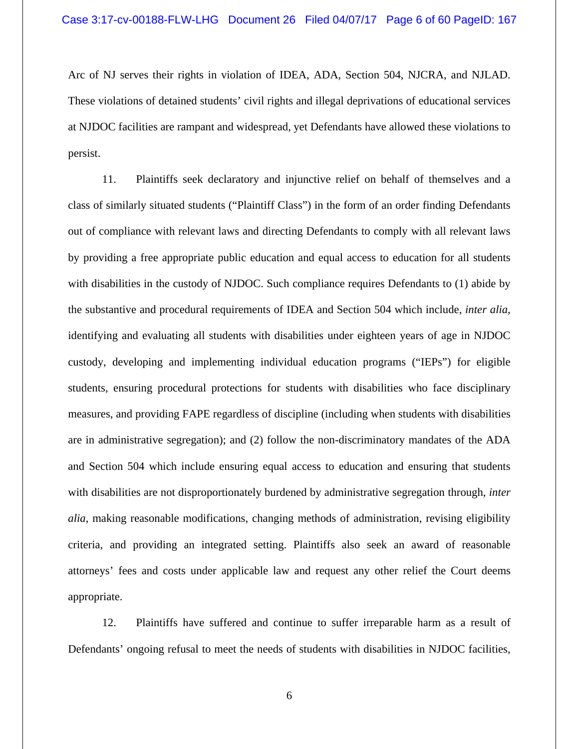Arc of NJ serves their rights in violation of IDEA, ADA, Section 504, NJCRA, and NJLAD. These violations of detained students' civil rights and illegal deprivations of educational services at NJDOC facilities are rampant and widespread, yet Defendants have allowed these violations to persist.

11. Plaintiffs seek declaratory and injunctive relief on behalf of themselves and a class of similarly situated students ("Plaintiff Class") in the form of an order finding Defendants out of compliance with relevant laws and directing Defendants to comply with all relevant laws by providing a free appropriate public education and equal access to education for all students with disabilities in the custody of NJDOC. Such compliance requires Defendants to (1) abide by the substantive and procedural requirements of IDEA and Section 504 which include, *inter alia*, identifying and evaluating all students with disabilities under eighteen years of age in NJDOC custody, developing and implementing individual education programs ("IEPs") for eligible students, ensuring procedural protections for students with disabilities who face disciplinary measures, and providing FAPE regardless of discipline (including when students with disabilities are in administrative segregation); and (2) follow the non-discriminatory mandates of the ADA and Section 504 which include ensuring equal access to education and ensuring that students with disabilities are not disproportionately burdened by administrative segregation through, *inter alia*, making reasonable modifications, changing methods of administration, revising eligibility criteria, and providing an integrated setting. Plaintiffs also seek an award of reasonable attorneys' fees and costs under applicable law and request any other relief the Court deems appropriate.

12. Plaintiffs have suffered and continue to suffer irreparable harm as a result of Defendants' ongoing refusal to meet the needs of students with disabilities in NJDOC facilities,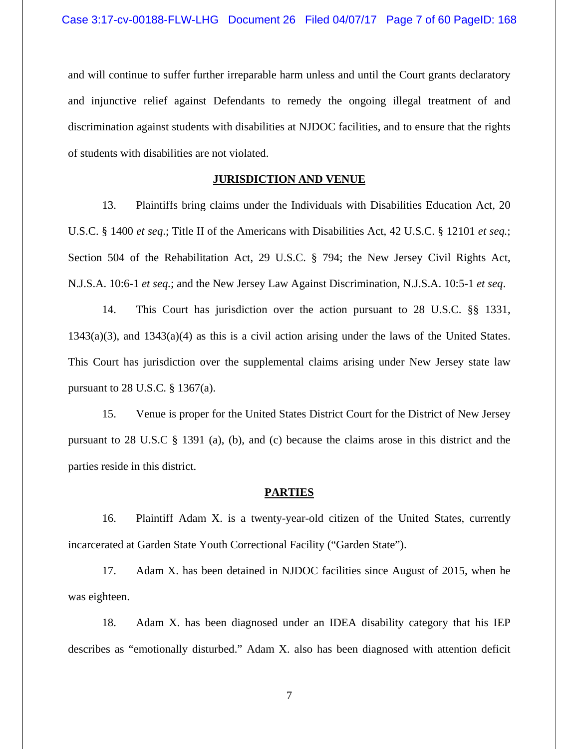and will continue to suffer further irreparable harm unless and until the Court grants declaratory and injunctive relief against Defendants to remedy the ongoing illegal treatment of and discrimination against students with disabilities at NJDOC facilities, and to ensure that the rights of students with disabilities are not violated.

# **JURISDICTION AND VENUE**

13. Plaintiffs bring claims under the Individuals with Disabilities Education Act, 20 U.S.C. § 1400 *et seq*.; Title II of the Americans with Disabilities Act, 42 U.S.C. § 12101 *et seq.*; Section 504 of the Rehabilitation Act, 29 U.S.C. § 794; the New Jersey Civil Rights Act, N.J.S.A. 10:6-1 *et seq.*; and the New Jersey Law Against Discrimination, N.J.S.A. 10:5-1 *et seq*.

14. This Court has jurisdiction over the action pursuant to 28 U.S.C. §§ 1331, 1343(a)(3), and 1343(a)(4) as this is a civil action arising under the laws of the United States. This Court has jurisdiction over the supplemental claims arising under New Jersey state law pursuant to 28 U.S.C. § 1367(a).

15. Venue is proper for the United States District Court for the District of New Jersey pursuant to 28 U.S.C § 1391 (a), (b), and (c) because the claims arose in this district and the parties reside in this district.

#### **PARTIES**

16. Plaintiff Adam X. is a twenty-year-old citizen of the United States, currently incarcerated at Garden State Youth Correctional Facility ("Garden State").

17. Adam X. has been detained in NJDOC facilities since August of 2015, when he was eighteen.

18. Adam X. has been diagnosed under an IDEA disability category that his IEP describes as "emotionally disturbed." Adam X. also has been diagnosed with attention deficit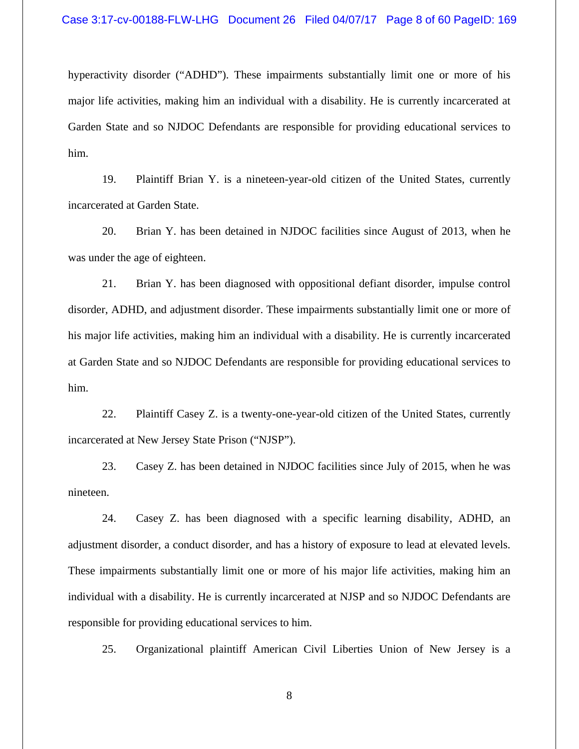hyperactivity disorder ("ADHD"). These impairments substantially limit one or more of his major life activities, making him an individual with a disability. He is currently incarcerated at Garden State and so NJDOC Defendants are responsible for providing educational services to him.

19. Plaintiff Brian Y. is a nineteen-year-old citizen of the United States, currently incarcerated at Garden State.

20. Brian Y. has been detained in NJDOC facilities since August of 2013, when he was under the age of eighteen.

21. Brian Y. has been diagnosed with oppositional defiant disorder, impulse control disorder, ADHD, and adjustment disorder. These impairments substantially limit one or more of his major life activities, making him an individual with a disability. He is currently incarcerated at Garden State and so NJDOC Defendants are responsible for providing educational services to him.

22. Plaintiff Casey Z. is a twenty-one-year-old citizen of the United States, currently incarcerated at New Jersey State Prison ("NJSP").

23. Casey Z. has been detained in NJDOC facilities since July of 2015, when he was nineteen.

24. Casey Z. has been diagnosed with a specific learning disability, ADHD, an adjustment disorder, a conduct disorder, and has a history of exposure to lead at elevated levels. These impairments substantially limit one or more of his major life activities, making him an individual with a disability. He is currently incarcerated at NJSP and so NJDOC Defendants are responsible for providing educational services to him.

25. Organizational plaintiff American Civil Liberties Union of New Jersey is a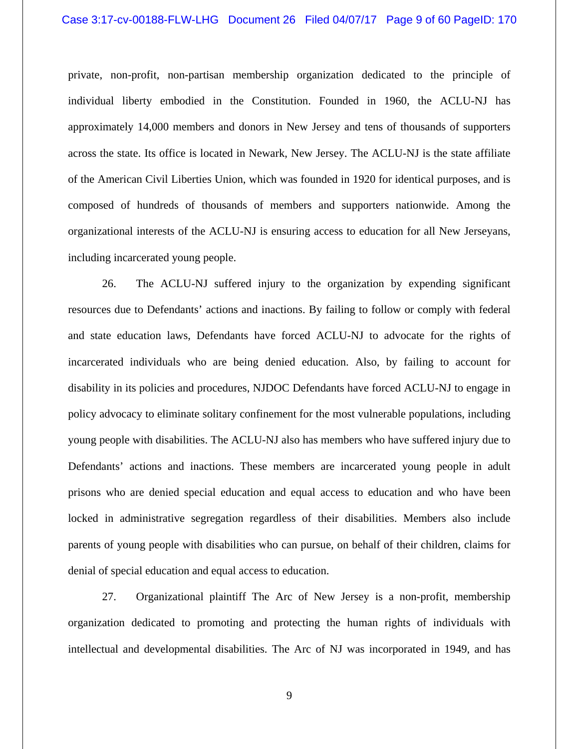### Case 3:17-cv-00188-FLW-LHG Document 26 Filed 04/07/17 Page 9 of 60 PageID: 170

private, non-profit, non-partisan membership organization dedicated to the principle of individual liberty embodied in the Constitution. Founded in 1960, the ACLU-NJ has approximately 14,000 members and donors in New Jersey and tens of thousands of supporters across the state. Its office is located in Newark, New Jersey. The ACLU-NJ is the state affiliate of the American Civil Liberties Union, which was founded in 1920 for identical purposes, and is composed of hundreds of thousands of members and supporters nationwide. Among the organizational interests of the ACLU-NJ is ensuring access to education for all New Jerseyans, including incarcerated young people.

26. The ACLU-NJ suffered injury to the organization by expending significant resources due to Defendants' actions and inactions. By failing to follow or comply with federal and state education laws, Defendants have forced ACLU-NJ to advocate for the rights of incarcerated individuals who are being denied education. Also, by failing to account for disability in its policies and procedures, NJDOC Defendants have forced ACLU-NJ to engage in policy advocacy to eliminate solitary confinement for the most vulnerable populations, including young people with disabilities. The ACLU-NJ also has members who have suffered injury due to Defendants' actions and inactions. These members are incarcerated young people in adult prisons who are denied special education and equal access to education and who have been locked in administrative segregation regardless of their disabilities. Members also include parents of young people with disabilities who can pursue, on behalf of their children, claims for denial of special education and equal access to education.

27. Organizational plaintiff The Arc of New Jersey is a non-profit, membership organization dedicated to promoting and protecting the human rights of individuals with intellectual and developmental disabilities. The Arc of NJ was incorporated in 1949, and has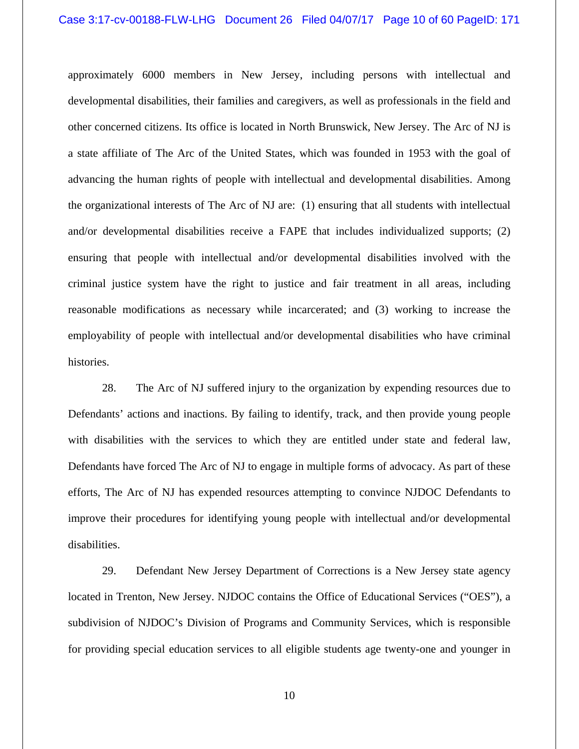approximately 6000 members in New Jersey, including persons with intellectual and developmental disabilities, their families and caregivers, as well as professionals in the field and other concerned citizens. Its office is located in North Brunswick, New Jersey. The Arc of NJ is a state affiliate of The Arc of the United States, which was founded in 1953 with the goal of advancing the human rights of people with intellectual and developmental disabilities. Among the organizational interests of The Arc of NJ are: (1) ensuring that all students with intellectual and/or developmental disabilities receive a FAPE that includes individualized supports; (2) ensuring that people with intellectual and/or developmental disabilities involved with the criminal justice system have the right to justice and fair treatment in all areas, including reasonable modifications as necessary while incarcerated; and (3) working to increase the employability of people with intellectual and/or developmental disabilities who have criminal histories.

28. The Arc of NJ suffered injury to the organization by expending resources due to Defendants' actions and inactions. By failing to identify, track, and then provide young people with disabilities with the services to which they are entitled under state and federal law, Defendants have forced The Arc of NJ to engage in multiple forms of advocacy. As part of these efforts, The Arc of NJ has expended resources attempting to convince NJDOC Defendants to improve their procedures for identifying young people with intellectual and/or developmental disabilities.

29. Defendant New Jersey Department of Corrections is a New Jersey state agency located in Trenton, New Jersey. NJDOC contains the Office of Educational Services ("OES"), a subdivision of NJDOC's Division of Programs and Community Services, which is responsible for providing special education services to all eligible students age twenty-one and younger in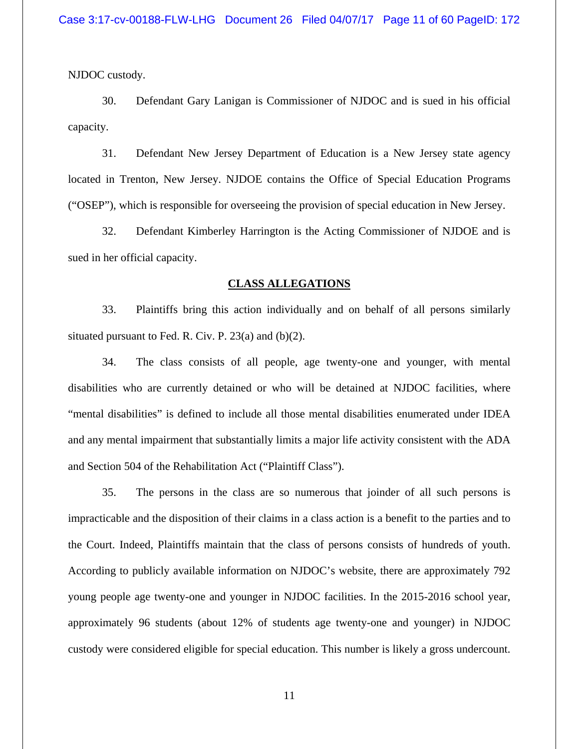NJDOC custody.

30. Defendant Gary Lanigan is Commissioner of NJDOC and is sued in his official capacity.

31. Defendant New Jersey Department of Education is a New Jersey state agency located in Trenton, New Jersey. NJDOE contains the Office of Special Education Programs ("OSEP"), which is responsible for overseeing the provision of special education in New Jersey.

32. Defendant Kimberley Harrington is the Acting Commissioner of NJDOE and is sued in her official capacity.

#### **CLASS ALLEGATIONS**

33. Plaintiffs bring this action individually and on behalf of all persons similarly situated pursuant to Fed. R. Civ. P.  $23(a)$  and (b)(2).

34. The class consists of all people, age twenty-one and younger, with mental disabilities who are currently detained or who will be detained at NJDOC facilities, where "mental disabilities" is defined to include all those mental disabilities enumerated under IDEA and any mental impairment that substantially limits a major life activity consistent with the ADA and Section 504 of the Rehabilitation Act ("Plaintiff Class").

35. The persons in the class are so numerous that joinder of all such persons is impracticable and the disposition of their claims in a class action is a benefit to the parties and to the Court. Indeed, Plaintiffs maintain that the class of persons consists of hundreds of youth. According to publicly available information on NJDOC's website, there are approximately 792 young people age twenty-one and younger in NJDOC facilities. In the 2015-2016 school year, approximately 96 students (about 12% of students age twenty-one and younger) in NJDOC custody were considered eligible for special education. This number is likely a gross undercount.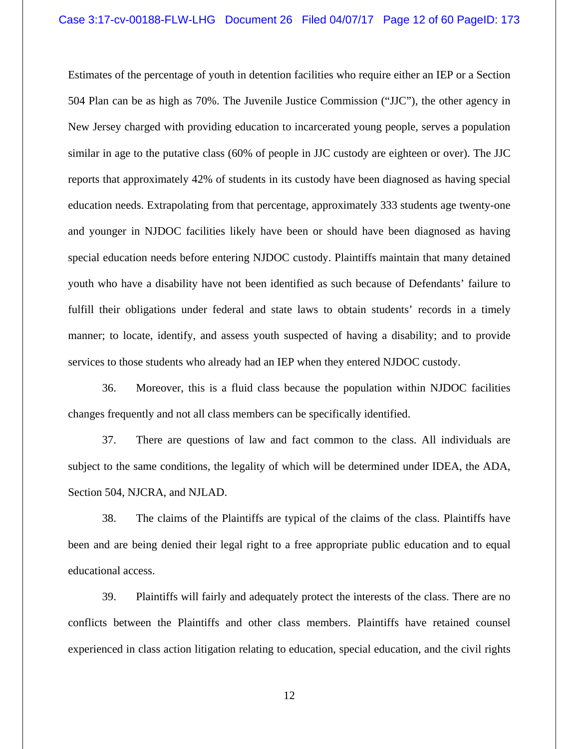Estimates of the percentage of youth in detention facilities who require either an IEP or a Section 504 Plan can be as high as 70%. The Juvenile Justice Commission ("JJC"), the other agency in New Jersey charged with providing education to incarcerated young people, serves a population similar in age to the putative class (60% of people in JJC custody are eighteen or over). The JJC reports that approximately 42% of students in its custody have been diagnosed as having special education needs. Extrapolating from that percentage, approximately 333 students age twenty-one and younger in NJDOC facilities likely have been or should have been diagnosed as having special education needs before entering NJDOC custody. Plaintiffs maintain that many detained youth who have a disability have not been identified as such because of Defendants' failure to fulfill their obligations under federal and state laws to obtain students' records in a timely manner; to locate, identify, and assess youth suspected of having a disability; and to provide services to those students who already had an IEP when they entered NJDOC custody.

36. Moreover, this is a fluid class because the population within NJDOC facilities changes frequently and not all class members can be specifically identified.

37. There are questions of law and fact common to the class. All individuals are subject to the same conditions, the legality of which will be determined under IDEA, the ADA, Section 504, NJCRA, and NJLAD.

38. The claims of the Plaintiffs are typical of the claims of the class. Plaintiffs have been and are being denied their legal right to a free appropriate public education and to equal educational access.

39. Plaintiffs will fairly and adequately protect the interests of the class. There are no conflicts between the Plaintiffs and other class members. Plaintiffs have retained counsel experienced in class action litigation relating to education, special education, and the civil rights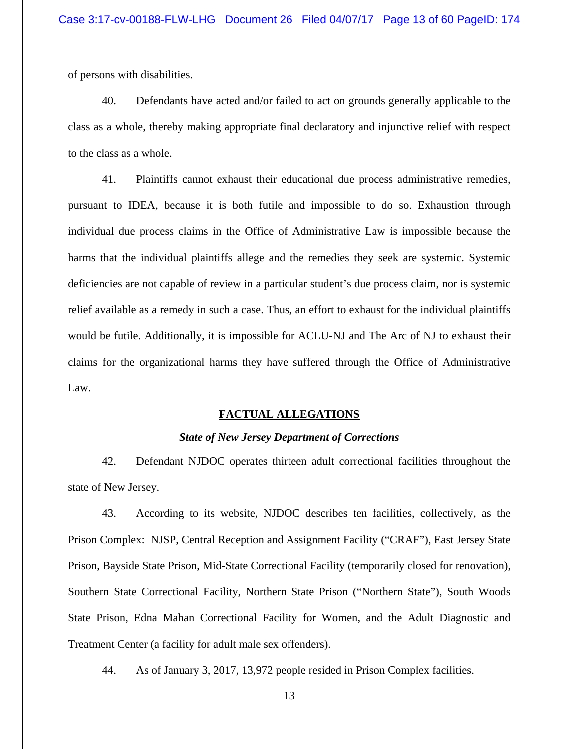of persons with disabilities.

40. Defendants have acted and/or failed to act on grounds generally applicable to the class as a whole, thereby making appropriate final declaratory and injunctive relief with respect to the class as a whole.

41. Plaintiffs cannot exhaust their educational due process administrative remedies, pursuant to IDEA, because it is both futile and impossible to do so. Exhaustion through individual due process claims in the Office of Administrative Law is impossible because the harms that the individual plaintiffs allege and the remedies they seek are systemic. Systemic deficiencies are not capable of review in a particular student's due process claim, nor is systemic relief available as a remedy in such a case. Thus, an effort to exhaust for the individual plaintiffs would be futile. Additionally, it is impossible for ACLU-NJ and The Arc of NJ to exhaust their claims for the organizational harms they have suffered through the Office of Administrative Law.

## **FACTUAL ALLEGATIONS**

## *State of New Jersey Department of Corrections*

42. Defendant NJDOC operates thirteen adult correctional facilities throughout the state of New Jersey.

43. According to its website, NJDOC describes ten facilities, collectively, as the Prison Complex: NJSP, Central Reception and Assignment Facility ("CRAF"), East Jersey State Prison, Bayside State Prison, Mid-State Correctional Facility (temporarily closed for renovation), Southern State Correctional Facility, Northern State Prison ("Northern State"), South Woods State Prison, Edna Mahan Correctional Facility for Women, and the Adult Diagnostic and Treatment Center (a facility for adult male sex offenders).

44. As of January 3, 2017, 13,972 people resided in Prison Complex facilities.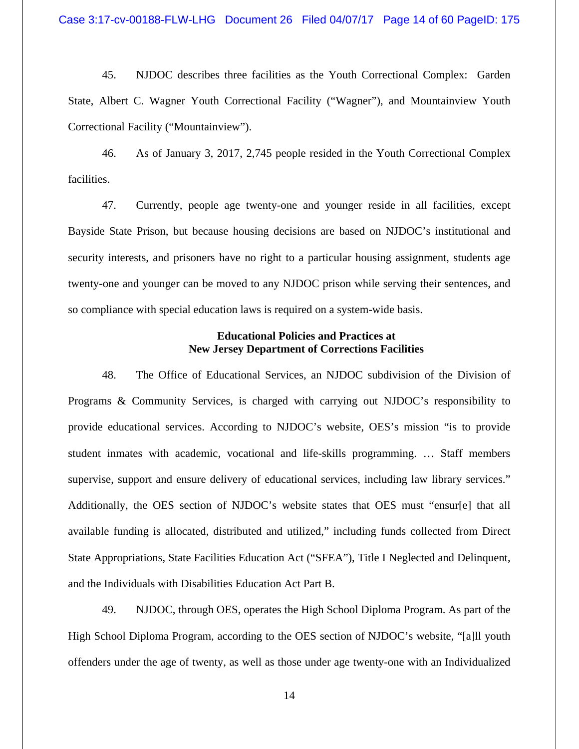45. NJDOC describes three facilities as the Youth Correctional Complex: Garden State, Albert C. Wagner Youth Correctional Facility ("Wagner"), and Mountainview Youth Correctional Facility ("Mountainview").

46. As of January 3, 2017, 2,745 people resided in the Youth Correctional Complex facilities.

47. Currently, people age twenty-one and younger reside in all facilities, except Bayside State Prison, but because housing decisions are based on NJDOC's institutional and security interests, and prisoners have no right to a particular housing assignment, students age twenty-one and younger can be moved to any NJDOC prison while serving their sentences, and so compliance with special education laws is required on a system-wide basis.

## **Educational Policies and Practices at New Jersey Department of Corrections Facilities**

48. The Office of Educational Services, an NJDOC subdivision of the Division of Programs & Community Services, is charged with carrying out NJDOC's responsibility to provide educational services. According to NJDOC's website, OES's mission "is to provide student inmates with academic, vocational and life-skills programming. … Staff members supervise, support and ensure delivery of educational services, including law library services." Additionally, the OES section of NJDOC's website states that OES must "ensur[e] that all available funding is allocated, distributed and utilized," including funds collected from Direct State Appropriations, State Facilities Education Act ("SFEA"), Title I Neglected and Delinquent, and the Individuals with Disabilities Education Act Part B.

49. NJDOC, through OES, operates the High School Diploma Program. As part of the High School Diploma Program, according to the OES section of NJDOC's website, "[a]ll youth offenders under the age of twenty, as well as those under age twenty-one with an Individualized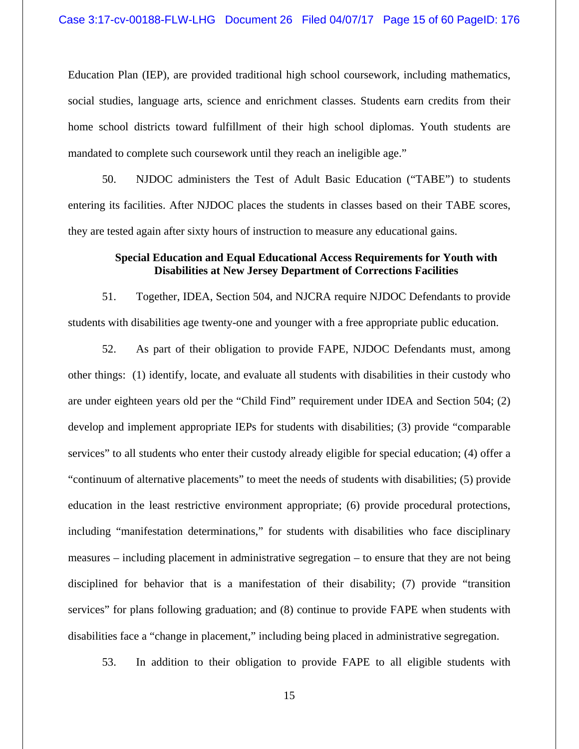Education Plan (IEP), are provided traditional high school coursework, including mathematics, social studies, language arts, science and enrichment classes. Students earn credits from their home school districts toward fulfillment of their high school diplomas. Youth students are mandated to complete such coursework until they reach an ineligible age."

50. NJDOC administers the Test of Adult Basic Education ("TABE") to students entering its facilities. After NJDOC places the students in classes based on their TABE scores, they are tested again after sixty hours of instruction to measure any educational gains.

# **Special Education and Equal Educational Access Requirements for Youth with Disabilities at New Jersey Department of Corrections Facilities**

51. Together, IDEA, Section 504, and NJCRA require NJDOC Defendants to provide students with disabilities age twenty-one and younger with a free appropriate public education.

52. As part of their obligation to provide FAPE, NJDOC Defendants must, among other things: (1) identify, locate, and evaluate all students with disabilities in their custody who are under eighteen years old per the "Child Find" requirement under IDEA and Section 504; (2) develop and implement appropriate IEPs for students with disabilities; (3) provide "comparable services" to all students who enter their custody already eligible for special education; (4) offer a "continuum of alternative placements" to meet the needs of students with disabilities; (5) provide education in the least restrictive environment appropriate; (6) provide procedural protections, including "manifestation determinations," for students with disabilities who face disciplinary measures – including placement in administrative segregation – to ensure that they are not being disciplined for behavior that is a manifestation of their disability; (7) provide "transition services" for plans following graduation; and (8) continue to provide FAPE when students with disabilities face a "change in placement," including being placed in administrative segregation.

53. In addition to their obligation to provide FAPE to all eligible students with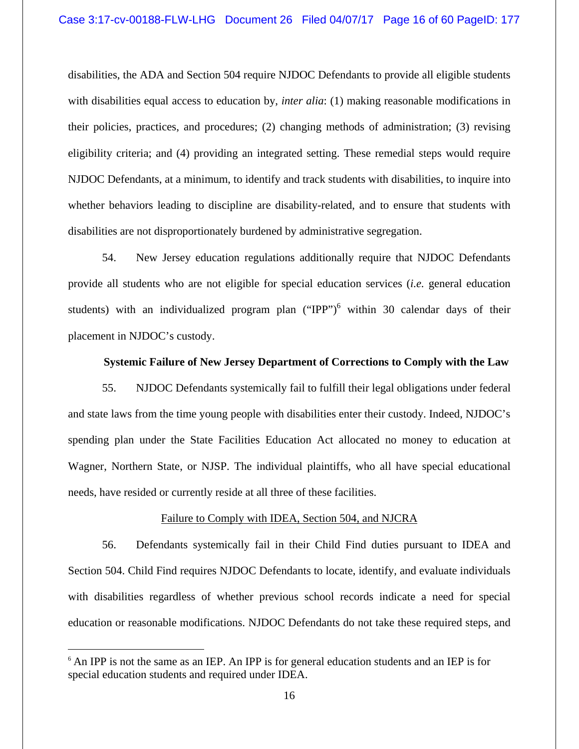disabilities, the ADA and Section 504 require NJDOC Defendants to provide all eligible students with disabilities equal access to education by, *inter alia*: (1) making reasonable modifications in their policies, practices, and procedures; (2) changing methods of administration; (3) revising eligibility criteria; and (4) providing an integrated setting. These remedial steps would require NJDOC Defendants, at a minimum, to identify and track students with disabilities, to inquire into whether behaviors leading to discipline are disability-related, and to ensure that students with disabilities are not disproportionately burdened by administrative segregation.

54. New Jersey education regulations additionally require that NJDOC Defendants provide all students who are not eligible for special education services (*i.e.* general education students) with an individualized program plan  $("IPP")^6$  within 30 calendar days of their placement in NJDOC's custody.

## **Systemic Failure of New Jersey Department of Corrections to Comply with the Law**

55. NJDOC Defendants systemically fail to fulfill their legal obligations under federal and state laws from the time young people with disabilities enter their custody. Indeed, NJDOC's spending plan under the State Facilities Education Act allocated no money to education at Wagner, Northern State, or NJSP. The individual plaintiffs, who all have special educational needs, have resided or currently reside at all three of these facilities.

## Failure to Comply with IDEA, Section 504, and NJCRA

56. Defendants systemically fail in their Child Find duties pursuant to IDEA and Section 504. Child Find requires NJDOC Defendants to locate, identify, and evaluate individuals with disabilities regardless of whether previous school records indicate a need for special education or reasonable modifications. NJDOC Defendants do not take these required steps, and

<sup>&</sup>lt;sup>6</sup> An IPP is not the same as an IEP. An IPP is for general education students and an IEP is for special education students and required under IDEA.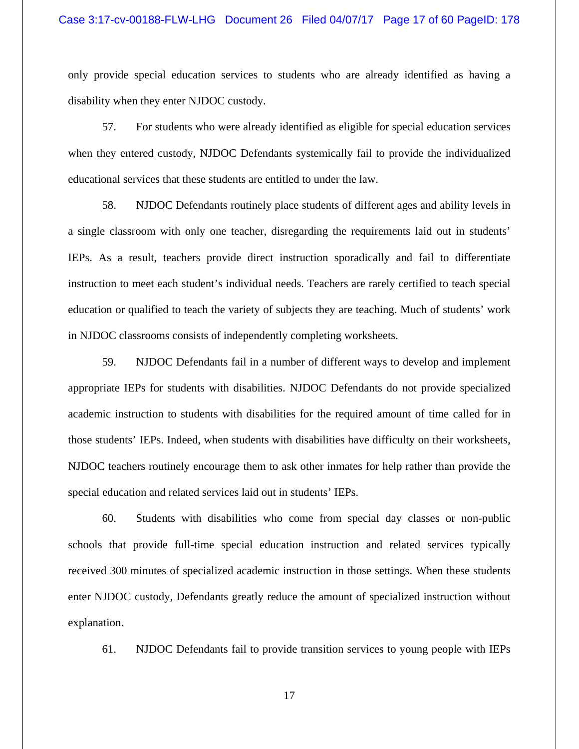only provide special education services to students who are already identified as having a disability when they enter NJDOC custody.

57. For students who were already identified as eligible for special education services when they entered custody, NJDOC Defendants systemically fail to provide the individualized educational services that these students are entitled to under the law.

58. NJDOC Defendants routinely place students of different ages and ability levels in a single classroom with only one teacher, disregarding the requirements laid out in students' IEPs. As a result, teachers provide direct instruction sporadically and fail to differentiate instruction to meet each student's individual needs. Teachers are rarely certified to teach special education or qualified to teach the variety of subjects they are teaching. Much of students' work in NJDOC classrooms consists of independently completing worksheets.

59. NJDOC Defendants fail in a number of different ways to develop and implement appropriate IEPs for students with disabilities. NJDOC Defendants do not provide specialized academic instruction to students with disabilities for the required amount of time called for in those students' IEPs. Indeed, when students with disabilities have difficulty on their worksheets, NJDOC teachers routinely encourage them to ask other inmates for help rather than provide the special education and related services laid out in students' IEPs.

60. Students with disabilities who come from special day classes or non-public schools that provide full-time special education instruction and related services typically received 300 minutes of specialized academic instruction in those settings. When these students enter NJDOC custody, Defendants greatly reduce the amount of specialized instruction without explanation.

61. NJDOC Defendants fail to provide transition services to young people with IEPs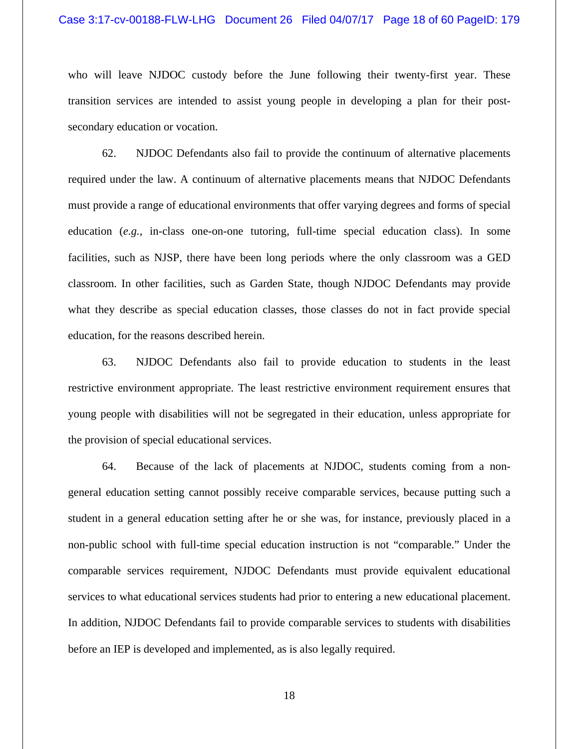who will leave NJDOC custody before the June following their twenty-first year. These transition services are intended to assist young people in developing a plan for their postsecondary education or vocation.

62. NJDOC Defendants also fail to provide the continuum of alternative placements required under the law. A continuum of alternative placements means that NJDOC Defendants must provide a range of educational environments that offer varying degrees and forms of special education (*e.g.*, in-class one-on-one tutoring, full-time special education class). In some facilities, such as NJSP, there have been long periods where the only classroom was a GED classroom. In other facilities, such as Garden State, though NJDOC Defendants may provide what they describe as special education classes, those classes do not in fact provide special education, for the reasons described herein.

63. NJDOC Defendants also fail to provide education to students in the least restrictive environment appropriate. The least restrictive environment requirement ensures that young people with disabilities will not be segregated in their education, unless appropriate for the provision of special educational services.

64. Because of the lack of placements at NJDOC, students coming from a nongeneral education setting cannot possibly receive comparable services, because putting such a student in a general education setting after he or she was, for instance, previously placed in a non-public school with full-time special education instruction is not "comparable." Under the comparable services requirement, NJDOC Defendants must provide equivalent educational services to what educational services students had prior to entering a new educational placement. In addition, NJDOC Defendants fail to provide comparable services to students with disabilities before an IEP is developed and implemented, as is also legally required.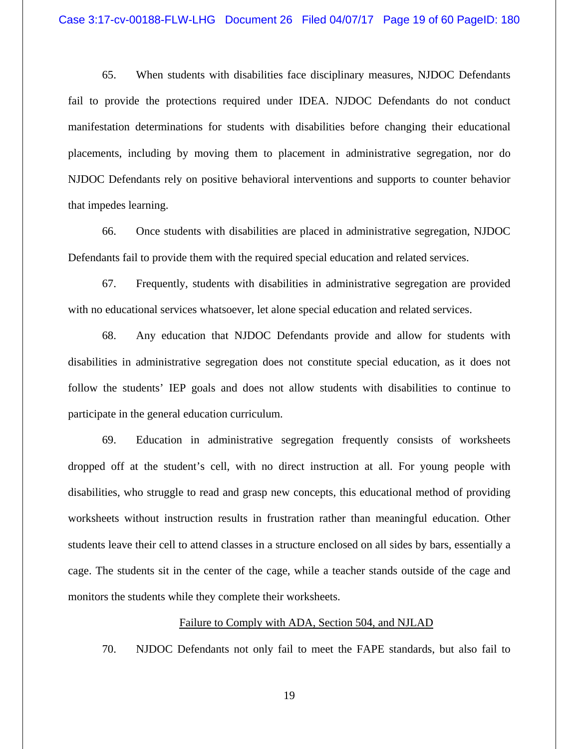65. When students with disabilities face disciplinary measures, NJDOC Defendants fail to provide the protections required under IDEA. NJDOC Defendants do not conduct manifestation determinations for students with disabilities before changing their educational placements, including by moving them to placement in administrative segregation, nor do NJDOC Defendants rely on positive behavioral interventions and supports to counter behavior that impedes learning.

66. Once students with disabilities are placed in administrative segregation, NJDOC Defendants fail to provide them with the required special education and related services.

67. Frequently, students with disabilities in administrative segregation are provided with no educational services whatsoever, let alone special education and related services.

68. Any education that NJDOC Defendants provide and allow for students with disabilities in administrative segregation does not constitute special education, as it does not follow the students' IEP goals and does not allow students with disabilities to continue to participate in the general education curriculum.

69. Education in administrative segregation frequently consists of worksheets dropped off at the student's cell, with no direct instruction at all. For young people with disabilities, who struggle to read and grasp new concepts, this educational method of providing worksheets without instruction results in frustration rather than meaningful education. Other students leave their cell to attend classes in a structure enclosed on all sides by bars, essentially a cage. The students sit in the center of the cage, while a teacher stands outside of the cage and monitors the students while they complete their worksheets.

#### Failure to Comply with ADA, Section 504, and NJLAD

70. NJDOC Defendants not only fail to meet the FAPE standards, but also fail to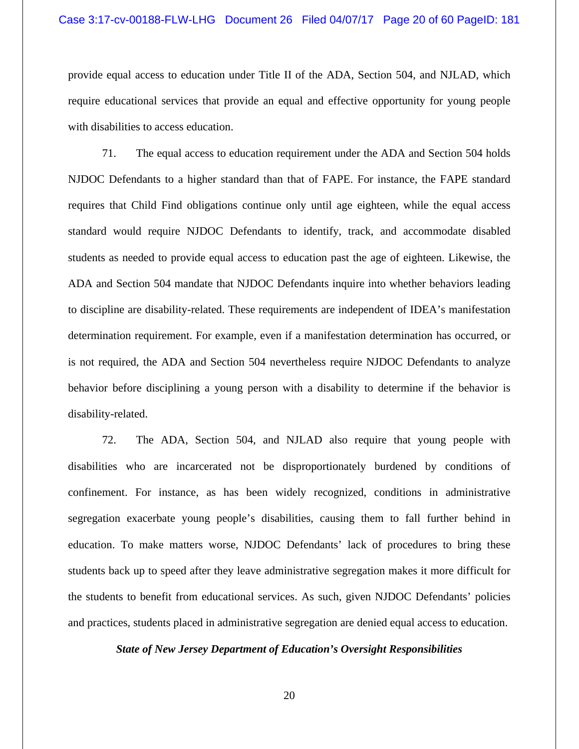provide equal access to education under Title II of the ADA, Section 504, and NJLAD, which require educational services that provide an equal and effective opportunity for young people with disabilities to access education.

71. The equal access to education requirement under the ADA and Section 504 holds NJDOC Defendants to a higher standard than that of FAPE. For instance, the FAPE standard requires that Child Find obligations continue only until age eighteen, while the equal access standard would require NJDOC Defendants to identify, track, and accommodate disabled students as needed to provide equal access to education past the age of eighteen. Likewise, the ADA and Section 504 mandate that NJDOC Defendants inquire into whether behaviors leading to discipline are disability-related. These requirements are independent of IDEA's manifestation determination requirement. For example, even if a manifestation determination has occurred, or is not required, the ADA and Section 504 nevertheless require NJDOC Defendants to analyze behavior before disciplining a young person with a disability to determine if the behavior is disability-related.

72. The ADA, Section 504, and NJLAD also require that young people with disabilities who are incarcerated not be disproportionately burdened by conditions of confinement. For instance, as has been widely recognized, conditions in administrative segregation exacerbate young people's disabilities, causing them to fall further behind in education. To make matters worse, NJDOC Defendants' lack of procedures to bring these students back up to speed after they leave administrative segregation makes it more difficult for the students to benefit from educational services. As such, given NJDOC Defendants' policies and practices, students placed in administrative segregation are denied equal access to education.

## *State of New Jersey Department of Education's Oversight Responsibilities*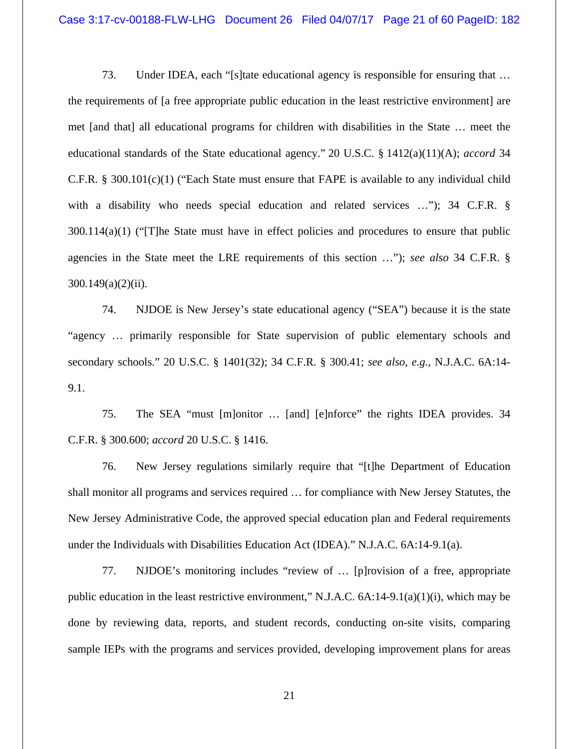73. Under IDEA, each "[s]tate educational agency is responsible for ensuring that … the requirements of [a free appropriate public education in the least restrictive environment] are met [and that] all educational programs for children with disabilities in the State … meet the educational standards of the State educational agency." 20 U.S.C. § 1412(a)(11)(A); *accord* 34 C.F.R. § 300.101(c)(1) ("Each State must ensure that FAPE is available to any individual child with a disability who needs special education and related services ..."); 34 C.F.R. § 300.114(a)(1) ("[T]he State must have in effect policies and procedures to ensure that public agencies in the State meet the LRE requirements of this section …"); *see also* 34 C.F.R. §  $300.149(a)(2)(ii)$ .

74. NJDOE is New Jersey's state educational agency ("SEA") because it is the state "agency … primarily responsible for State supervision of public elementary schools and secondary schools." 20 U.S.C. § 1401(32); 34 C.F.R. § 300.41; *see also, e.g.*, N.J.A.C. 6A:14- 9.1.

75. The SEA "must [m]onitor … [and] [e]nforce" the rights IDEA provides. 34 C.F.R. § 300.600; *accord* 20 U.S.C. § 1416.

76. New Jersey regulations similarly require that "[t]he Department of Education shall monitor all programs and services required … for compliance with New Jersey Statutes, the New Jersey Administrative Code, the approved special education plan and Federal requirements under the Individuals with Disabilities Education Act (IDEA)." N.J.A.C. 6A:14-9.1(a).

77. NJDOE's monitoring includes "review of … [p]rovision of a free, appropriate public education in the least restrictive environment," N.J.A.C.  $6A:14-9.1(a)(1)(i)$ , which may be done by reviewing data, reports, and student records, conducting on-site visits, comparing sample IEPs with the programs and services provided, developing improvement plans for areas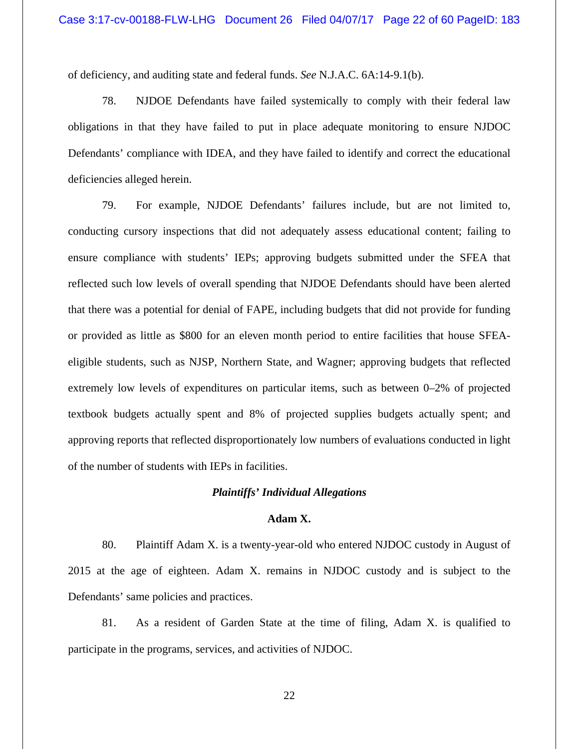of deficiency, and auditing state and federal funds. *See* N.J.A.C. 6A:14-9.1(b).

78. NJDOE Defendants have failed systemically to comply with their federal law obligations in that they have failed to put in place adequate monitoring to ensure NJDOC Defendants' compliance with IDEA, and they have failed to identify and correct the educational deficiencies alleged herein.

79. For example, NJDOE Defendants' failures include, but are not limited to, conducting cursory inspections that did not adequately assess educational content; failing to ensure compliance with students' IEPs; approving budgets submitted under the SFEA that reflected such low levels of overall spending that NJDOE Defendants should have been alerted that there was a potential for denial of FAPE, including budgets that did not provide for funding or provided as little as \$800 for an eleven month period to entire facilities that house SFEAeligible students, such as NJSP, Northern State, and Wagner; approving budgets that reflected extremely low levels of expenditures on particular items, such as between 0–2% of projected textbook budgets actually spent and 8% of projected supplies budgets actually spent; and approving reports that reflected disproportionately low numbers of evaluations conducted in light of the number of students with IEPs in facilities.

#### *Plaintiffs' Individual Allegations*

## **Adam X.**

80. Plaintiff Adam X. is a twenty-year-old who entered NJDOC custody in August of 2015 at the age of eighteen. Adam X. remains in NJDOC custody and is subject to the Defendants' same policies and practices.

81. As a resident of Garden State at the time of filing, Adam X. is qualified to participate in the programs, services, and activities of NJDOC.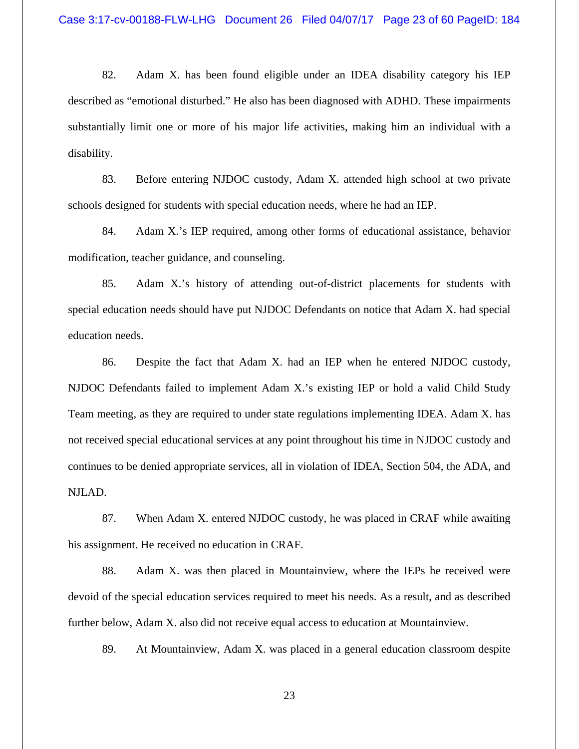82. Adam X. has been found eligible under an IDEA disability category his IEP described as "emotional disturbed." He also has been diagnosed with ADHD. These impairments substantially limit one or more of his major life activities, making him an individual with a disability.

83. Before entering NJDOC custody, Adam X. attended high school at two private schools designed for students with special education needs, where he had an IEP.

84. Adam X.'s IEP required, among other forms of educational assistance, behavior modification, teacher guidance, and counseling.

85. Adam X.'s history of attending out-of-district placements for students with special education needs should have put NJDOC Defendants on notice that Adam X. had special education needs.

86. Despite the fact that Adam X. had an IEP when he entered NJDOC custody, NJDOC Defendants failed to implement Adam X.'s existing IEP or hold a valid Child Study Team meeting, as they are required to under state regulations implementing IDEA. Adam X. has not received special educational services at any point throughout his time in NJDOC custody and continues to be denied appropriate services, all in violation of IDEA, Section 504, the ADA, and NJLAD.

87. When Adam X. entered NJDOC custody, he was placed in CRAF while awaiting his assignment. He received no education in CRAF.

88. Adam X. was then placed in Mountainview, where the IEPs he received were devoid of the special education services required to meet his needs. As a result, and as described further below, Adam X. also did not receive equal access to education at Mountainview.

89. At Mountainview, Adam X. was placed in a general education classroom despite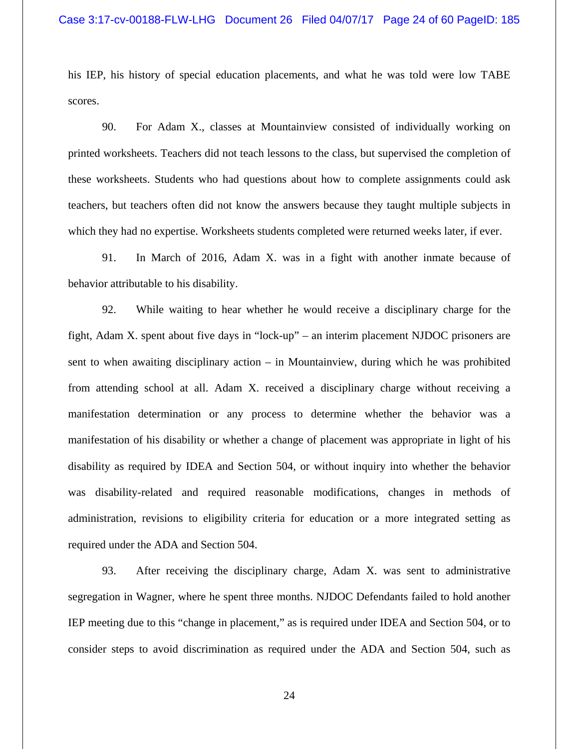his IEP, his history of special education placements, and what he was told were low TABE scores.

90. For Adam X., classes at Mountainview consisted of individually working on printed worksheets. Teachers did not teach lessons to the class, but supervised the completion of these worksheets. Students who had questions about how to complete assignments could ask teachers, but teachers often did not know the answers because they taught multiple subjects in which they had no expertise. Worksheets students completed were returned weeks later, if ever.

91. In March of 2016, Adam X. was in a fight with another inmate because of behavior attributable to his disability.

92. While waiting to hear whether he would receive a disciplinary charge for the fight, Adam X. spent about five days in "lock-up" – an interim placement NJDOC prisoners are sent to when awaiting disciplinary action – in Mountainview, during which he was prohibited from attending school at all. Adam X. received a disciplinary charge without receiving a manifestation determination or any process to determine whether the behavior was a manifestation of his disability or whether a change of placement was appropriate in light of his disability as required by IDEA and Section 504, or without inquiry into whether the behavior was disability-related and required reasonable modifications, changes in methods of administration, revisions to eligibility criteria for education or a more integrated setting as required under the ADA and Section 504.

93. After receiving the disciplinary charge, Adam X. was sent to administrative segregation in Wagner, where he spent three months. NJDOC Defendants failed to hold another IEP meeting due to this "change in placement," as is required under IDEA and Section 504, or to consider steps to avoid discrimination as required under the ADA and Section 504, such as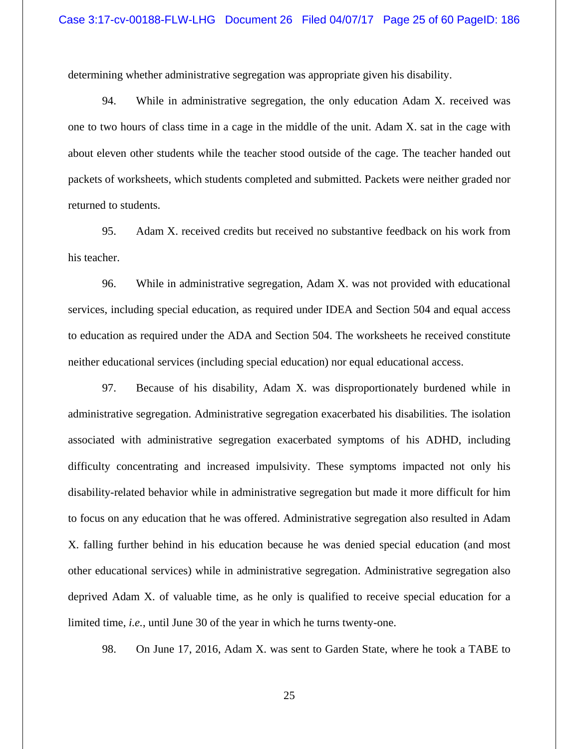determining whether administrative segregation was appropriate given his disability.

94. While in administrative segregation, the only education Adam X. received was one to two hours of class time in a cage in the middle of the unit. Adam X. sat in the cage with about eleven other students while the teacher stood outside of the cage. The teacher handed out packets of worksheets, which students completed and submitted. Packets were neither graded nor returned to students.

95. Adam X. received credits but received no substantive feedback on his work from his teacher.

96. While in administrative segregation, Adam X. was not provided with educational services, including special education, as required under IDEA and Section 504 and equal access to education as required under the ADA and Section 504. The worksheets he received constitute neither educational services (including special education) nor equal educational access.

97. Because of his disability, Adam X. was disproportionately burdened while in administrative segregation. Administrative segregation exacerbated his disabilities. The isolation associated with administrative segregation exacerbated symptoms of his ADHD, including difficulty concentrating and increased impulsivity. These symptoms impacted not only his disability-related behavior while in administrative segregation but made it more difficult for him to focus on any education that he was offered. Administrative segregation also resulted in Adam X. falling further behind in his education because he was denied special education (and most other educational services) while in administrative segregation. Administrative segregation also deprived Adam X. of valuable time, as he only is qualified to receive special education for a limited time, *i.e.*, until June 30 of the year in which he turns twenty-one.

98. On June 17, 2016, Adam X. was sent to Garden State, where he took a TABE to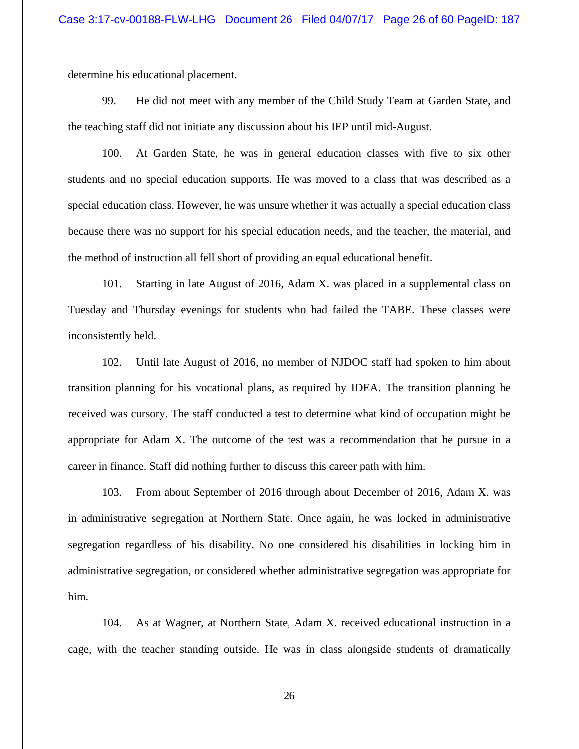determine his educational placement.

99. He did not meet with any member of the Child Study Team at Garden State, and the teaching staff did not initiate any discussion about his IEP until mid-August.

100. At Garden State, he was in general education classes with five to six other students and no special education supports. He was moved to a class that was described as a special education class. However, he was unsure whether it was actually a special education class because there was no support for his special education needs, and the teacher, the material, and the method of instruction all fell short of providing an equal educational benefit.

101. Starting in late August of 2016, Adam X. was placed in a supplemental class on Tuesday and Thursday evenings for students who had failed the TABE. These classes were inconsistently held.

102. Until late August of 2016, no member of NJDOC staff had spoken to him about transition planning for his vocational plans, as required by IDEA. The transition planning he received was cursory. The staff conducted a test to determine what kind of occupation might be appropriate for Adam X. The outcome of the test was a recommendation that he pursue in a career in finance. Staff did nothing further to discuss this career path with him.

103. From about September of 2016 through about December of 2016, Adam X. was in administrative segregation at Northern State. Once again, he was locked in administrative segregation regardless of his disability. No one considered his disabilities in locking him in administrative segregation, or considered whether administrative segregation was appropriate for him.

104. As at Wagner, at Northern State, Adam X. received educational instruction in a cage, with the teacher standing outside. He was in class alongside students of dramatically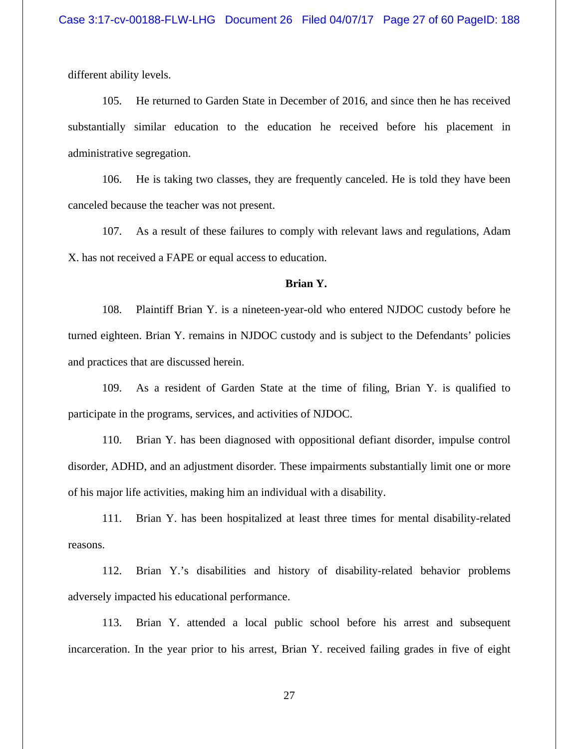different ability levels.

105. He returned to Garden State in December of 2016, and since then he has received substantially similar education to the education he received before his placement in administrative segregation.

106. He is taking two classes, they are frequently canceled. He is told they have been canceled because the teacher was not present.

107. As a result of these failures to comply with relevant laws and regulations, Adam X. has not received a FAPE or equal access to education.

### **Brian Y.**

108. Plaintiff Brian Y. is a nineteen-year-old who entered NJDOC custody before he turned eighteen. Brian Y. remains in NJDOC custody and is subject to the Defendants' policies and practices that are discussed herein.

109. As a resident of Garden State at the time of filing, Brian Y. is qualified to participate in the programs, services, and activities of NJDOC.

110. Brian Y. has been diagnosed with oppositional defiant disorder, impulse control disorder, ADHD, and an adjustment disorder. These impairments substantially limit one or more of his major life activities, making him an individual with a disability.

111. Brian Y. has been hospitalized at least three times for mental disability-related reasons.

112. Brian Y.'s disabilities and history of disability-related behavior problems adversely impacted his educational performance.

113. Brian Y. attended a local public school before his arrest and subsequent incarceration. In the year prior to his arrest, Brian Y. received failing grades in five of eight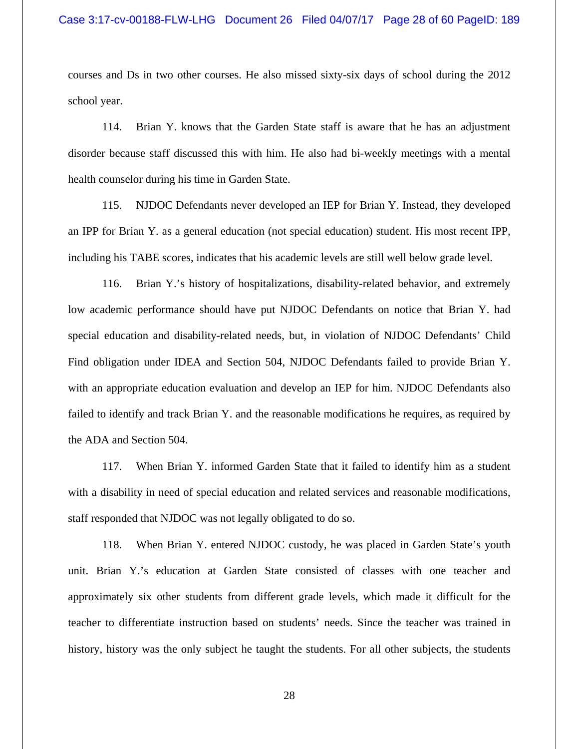courses and Ds in two other courses. He also missed sixty-six days of school during the 2012 school year.

114. Brian Y. knows that the Garden State staff is aware that he has an adjustment disorder because staff discussed this with him. He also had bi-weekly meetings with a mental health counselor during his time in Garden State.

115. NJDOC Defendants never developed an IEP for Brian Y. Instead, they developed an IPP for Brian Y. as a general education (not special education) student. His most recent IPP, including his TABE scores, indicates that his academic levels are still well below grade level.

116. Brian Y.'s history of hospitalizations, disability-related behavior, and extremely low academic performance should have put NJDOC Defendants on notice that Brian Y. had special education and disability-related needs, but, in violation of NJDOC Defendants' Child Find obligation under IDEA and Section 504, NJDOC Defendants failed to provide Brian Y. with an appropriate education evaluation and develop an IEP for him. NJDOC Defendants also failed to identify and track Brian Y. and the reasonable modifications he requires, as required by the ADA and Section 504.

117. When Brian Y. informed Garden State that it failed to identify him as a student with a disability in need of special education and related services and reasonable modifications, staff responded that NJDOC was not legally obligated to do so.

118. When Brian Y. entered NJDOC custody, he was placed in Garden State's youth unit. Brian Y.'s education at Garden State consisted of classes with one teacher and approximately six other students from different grade levels, which made it difficult for the teacher to differentiate instruction based on students' needs. Since the teacher was trained in history, history was the only subject he taught the students. For all other subjects, the students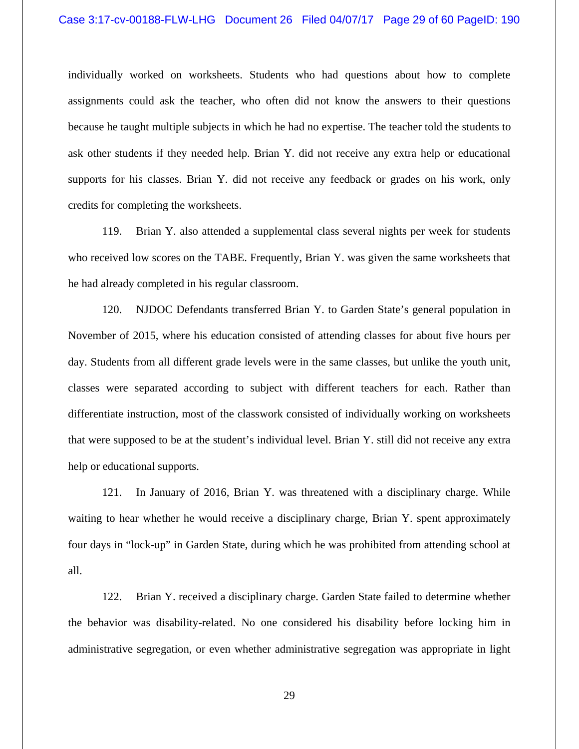individually worked on worksheets. Students who had questions about how to complete assignments could ask the teacher, who often did not know the answers to their questions because he taught multiple subjects in which he had no expertise. The teacher told the students to ask other students if they needed help. Brian Y. did not receive any extra help or educational supports for his classes. Brian Y. did not receive any feedback or grades on his work, only credits for completing the worksheets.

119. Brian Y. also attended a supplemental class several nights per week for students who received low scores on the TABE. Frequently, Brian Y. was given the same worksheets that he had already completed in his regular classroom.

120. NJDOC Defendants transferred Brian Y. to Garden State's general population in November of 2015, where his education consisted of attending classes for about five hours per day. Students from all different grade levels were in the same classes, but unlike the youth unit, classes were separated according to subject with different teachers for each. Rather than differentiate instruction, most of the classwork consisted of individually working on worksheets that were supposed to be at the student's individual level. Brian Y. still did not receive any extra help or educational supports.

121. In January of 2016, Brian Y. was threatened with a disciplinary charge. While waiting to hear whether he would receive a disciplinary charge, Brian Y. spent approximately four days in "lock-up" in Garden State, during which he was prohibited from attending school at all.

122. Brian Y. received a disciplinary charge. Garden State failed to determine whether the behavior was disability-related. No one considered his disability before locking him in administrative segregation, or even whether administrative segregation was appropriate in light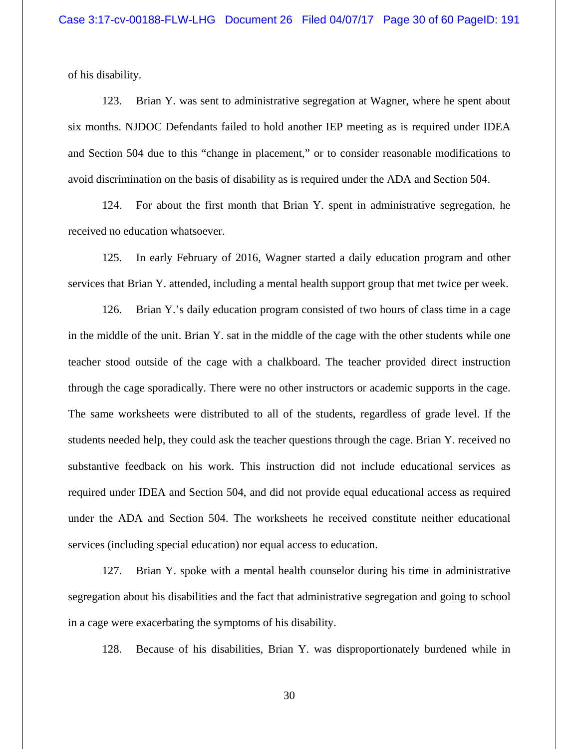of his disability.

123. Brian Y. was sent to administrative segregation at Wagner, where he spent about six months. NJDOC Defendants failed to hold another IEP meeting as is required under IDEA and Section 504 due to this "change in placement," or to consider reasonable modifications to avoid discrimination on the basis of disability as is required under the ADA and Section 504.

124. For about the first month that Brian Y. spent in administrative segregation, he received no education whatsoever.

125. In early February of 2016, Wagner started a daily education program and other services that Brian Y. attended, including a mental health support group that met twice per week.

126. Brian Y.'s daily education program consisted of two hours of class time in a cage in the middle of the unit. Brian Y. sat in the middle of the cage with the other students while one teacher stood outside of the cage with a chalkboard. The teacher provided direct instruction through the cage sporadically. There were no other instructors or academic supports in the cage. The same worksheets were distributed to all of the students, regardless of grade level. If the students needed help, they could ask the teacher questions through the cage. Brian Y. received no substantive feedback on his work. This instruction did not include educational services as required under IDEA and Section 504, and did not provide equal educational access as required under the ADA and Section 504. The worksheets he received constitute neither educational services (including special education) nor equal access to education.

127. Brian Y. spoke with a mental health counselor during his time in administrative segregation about his disabilities and the fact that administrative segregation and going to school in a cage were exacerbating the symptoms of his disability.

128. Because of his disabilities, Brian Y. was disproportionately burdened while in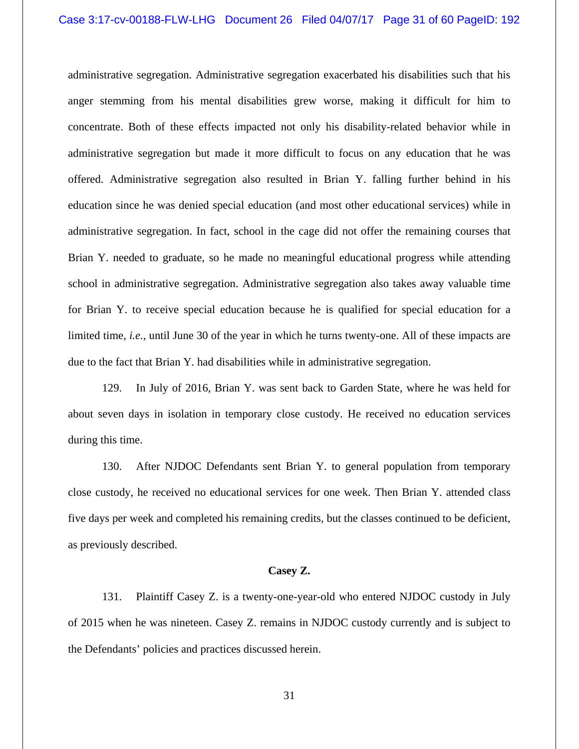administrative segregation. Administrative segregation exacerbated his disabilities such that his anger stemming from his mental disabilities grew worse, making it difficult for him to concentrate. Both of these effects impacted not only his disability-related behavior while in administrative segregation but made it more difficult to focus on any education that he was offered. Administrative segregation also resulted in Brian Y. falling further behind in his education since he was denied special education (and most other educational services) while in administrative segregation. In fact, school in the cage did not offer the remaining courses that Brian Y. needed to graduate, so he made no meaningful educational progress while attending school in administrative segregation. Administrative segregation also takes away valuable time for Brian Y. to receive special education because he is qualified for special education for a limited time, *i.e.*, until June 30 of the year in which he turns twenty-one. All of these impacts are due to the fact that Brian Y. had disabilities while in administrative segregation.

129. In July of 2016, Brian Y. was sent back to Garden State, where he was held for about seven days in isolation in temporary close custody. He received no education services during this time.

130. After NJDOC Defendants sent Brian Y. to general population from temporary close custody, he received no educational services for one week. Then Brian Y. attended class five days per week and completed his remaining credits, but the classes continued to be deficient, as previously described.

#### **Casey Z.**

131. Plaintiff Casey Z. is a twenty-one-year-old who entered NJDOC custody in July of 2015 when he was nineteen. Casey Z. remains in NJDOC custody currently and is subject to the Defendants' policies and practices discussed herein.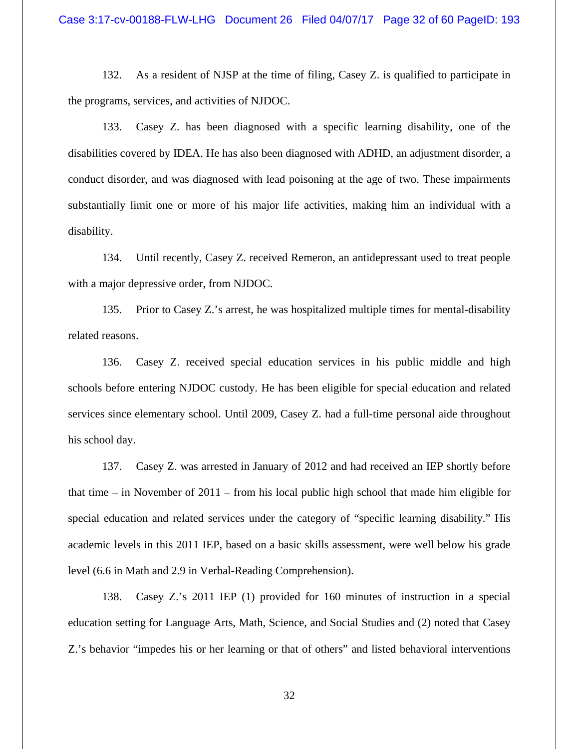132. As a resident of NJSP at the time of filing, Casey Z. is qualified to participate in the programs, services, and activities of NJDOC.

133. Casey Z. has been diagnosed with a specific learning disability, one of the disabilities covered by IDEA. He has also been diagnosed with ADHD, an adjustment disorder, a conduct disorder, and was diagnosed with lead poisoning at the age of two. These impairments substantially limit one or more of his major life activities, making him an individual with a disability.

134. Until recently, Casey Z. received Remeron, an antidepressant used to treat people with a major depressive order, from NJDOC.

135. Prior to Casey Z.'s arrest, he was hospitalized multiple times for mental-disability related reasons.

136. Casey Z. received special education services in his public middle and high schools before entering NJDOC custody. He has been eligible for special education and related services since elementary school. Until 2009, Casey Z. had a full-time personal aide throughout his school day.

137. Casey Z. was arrested in January of 2012 and had received an IEP shortly before that time – in November of 2011 – from his local public high school that made him eligible for special education and related services under the category of "specific learning disability." His academic levels in this 2011 IEP, based on a basic skills assessment, were well below his grade level (6.6 in Math and 2.9 in Verbal-Reading Comprehension).

138. Casey Z.'s 2011 IEP (1) provided for 160 minutes of instruction in a special education setting for Language Arts, Math, Science, and Social Studies and (2) noted that Casey Z.'s behavior "impedes his or her learning or that of others" and listed behavioral interventions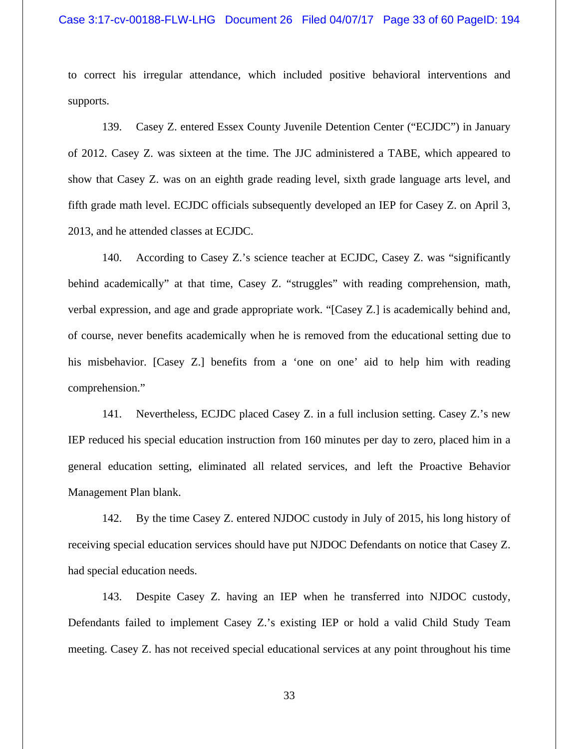to correct his irregular attendance, which included positive behavioral interventions and supports.

139. Casey Z. entered Essex County Juvenile Detention Center ("ECJDC") in January of 2012. Casey Z. was sixteen at the time. The JJC administered a TABE, which appeared to show that Casey Z. was on an eighth grade reading level, sixth grade language arts level, and fifth grade math level. ECJDC officials subsequently developed an IEP for Casey Z. on April 3, 2013, and he attended classes at ECJDC.

140. According to Casey Z.'s science teacher at ECJDC, Casey Z. was "significantly behind academically" at that time, Casey Z. "struggles" with reading comprehension, math, verbal expression, and age and grade appropriate work. "[Casey Z.] is academically behind and, of course, never benefits academically when he is removed from the educational setting due to his misbehavior. [Casey Z.] benefits from a 'one on one' aid to help him with reading comprehension."

141. Nevertheless, ECJDC placed Casey Z. in a full inclusion setting. Casey Z.'s new IEP reduced his special education instruction from 160 minutes per day to zero, placed him in a general education setting, eliminated all related services, and left the Proactive Behavior Management Plan blank.

142. By the time Casey Z. entered NJDOC custody in July of 2015, his long history of receiving special education services should have put NJDOC Defendants on notice that Casey Z. had special education needs.

143. Despite Casey Z. having an IEP when he transferred into NJDOC custody, Defendants failed to implement Casey Z.'s existing IEP or hold a valid Child Study Team meeting. Casey Z. has not received special educational services at any point throughout his time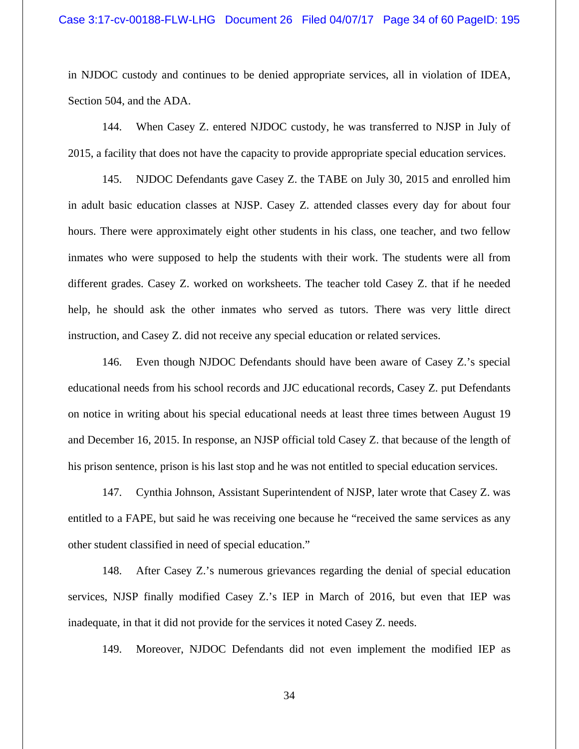in NJDOC custody and continues to be denied appropriate services, all in violation of IDEA, Section 504, and the ADA.

144. When Casey Z. entered NJDOC custody, he was transferred to NJSP in July of 2015, a facility that does not have the capacity to provide appropriate special education services.

145. NJDOC Defendants gave Casey Z. the TABE on July 30, 2015 and enrolled him in adult basic education classes at NJSP. Casey Z. attended classes every day for about four hours. There were approximately eight other students in his class, one teacher, and two fellow inmates who were supposed to help the students with their work. The students were all from different grades. Casey Z. worked on worksheets. The teacher told Casey Z. that if he needed help, he should ask the other inmates who served as tutors. There was very little direct instruction, and Casey Z. did not receive any special education or related services.

146. Even though NJDOC Defendants should have been aware of Casey Z.'s special educational needs from his school records and JJC educational records, Casey Z. put Defendants on notice in writing about his special educational needs at least three times between August 19 and December 16, 2015. In response, an NJSP official told Casey Z. that because of the length of his prison sentence, prison is his last stop and he was not entitled to special education services.

147. Cynthia Johnson, Assistant Superintendent of NJSP, later wrote that Casey Z. was entitled to a FAPE, but said he was receiving one because he "received the same services as any other student classified in need of special education."

148. After Casey Z.'s numerous grievances regarding the denial of special education services, NJSP finally modified Casey Z.'s IEP in March of 2016, but even that IEP was inadequate, in that it did not provide for the services it noted Casey Z. needs.

149. Moreover, NJDOC Defendants did not even implement the modified IEP as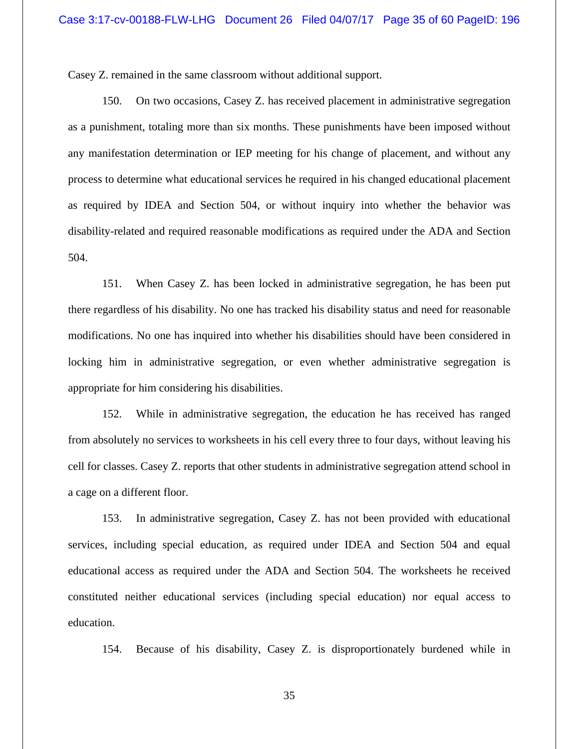Casey Z. remained in the same classroom without additional support.

150. On two occasions, Casey Z. has received placement in administrative segregation as a punishment, totaling more than six months. These punishments have been imposed without any manifestation determination or IEP meeting for his change of placement, and without any process to determine what educational services he required in his changed educational placement as required by IDEA and Section 504, or without inquiry into whether the behavior was disability-related and required reasonable modifications as required under the ADA and Section 504.

151. When Casey Z. has been locked in administrative segregation, he has been put there regardless of his disability. No one has tracked his disability status and need for reasonable modifications. No one has inquired into whether his disabilities should have been considered in locking him in administrative segregation, or even whether administrative segregation is appropriate for him considering his disabilities.

152. While in administrative segregation, the education he has received has ranged from absolutely no services to worksheets in his cell every three to four days, without leaving his cell for classes. Casey Z. reports that other students in administrative segregation attend school in a cage on a different floor.

153. In administrative segregation, Casey Z. has not been provided with educational services, including special education, as required under IDEA and Section 504 and equal educational access as required under the ADA and Section 504. The worksheets he received constituted neither educational services (including special education) nor equal access to education.

154. Because of his disability, Casey Z. is disproportionately burdened while in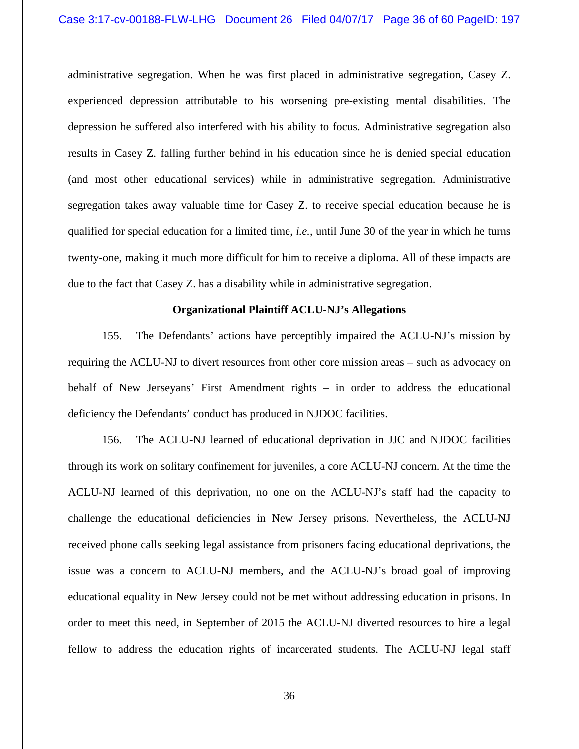administrative segregation. When he was first placed in administrative segregation, Casey Z. experienced depression attributable to his worsening pre-existing mental disabilities. The depression he suffered also interfered with his ability to focus. Administrative segregation also results in Casey Z. falling further behind in his education since he is denied special education (and most other educational services) while in administrative segregation. Administrative segregation takes away valuable time for Casey Z. to receive special education because he is qualified for special education for a limited time, *i.e.*, until June 30 of the year in which he turns twenty-one, making it much more difficult for him to receive a diploma. All of these impacts are due to the fact that Casey Z. has a disability while in administrative segregation.

#### **Organizational Plaintiff ACLU-NJ's Allegations**

155. The Defendants' actions have perceptibly impaired the ACLU-NJ's mission by requiring the ACLU-NJ to divert resources from other core mission areas – such as advocacy on behalf of New Jerseyans' First Amendment rights – in order to address the educational deficiency the Defendants' conduct has produced in NJDOC facilities.

156. The ACLU-NJ learned of educational deprivation in JJC and NJDOC facilities through its work on solitary confinement for juveniles, a core ACLU-NJ concern. At the time the ACLU-NJ learned of this deprivation, no one on the ACLU-NJ's staff had the capacity to challenge the educational deficiencies in New Jersey prisons. Nevertheless, the ACLU-NJ received phone calls seeking legal assistance from prisoners facing educational deprivations, the issue was a concern to ACLU-NJ members, and the ACLU-NJ's broad goal of improving educational equality in New Jersey could not be met without addressing education in prisons. In order to meet this need, in September of 2015 the ACLU-NJ diverted resources to hire a legal fellow to address the education rights of incarcerated students. The ACLU-NJ legal staff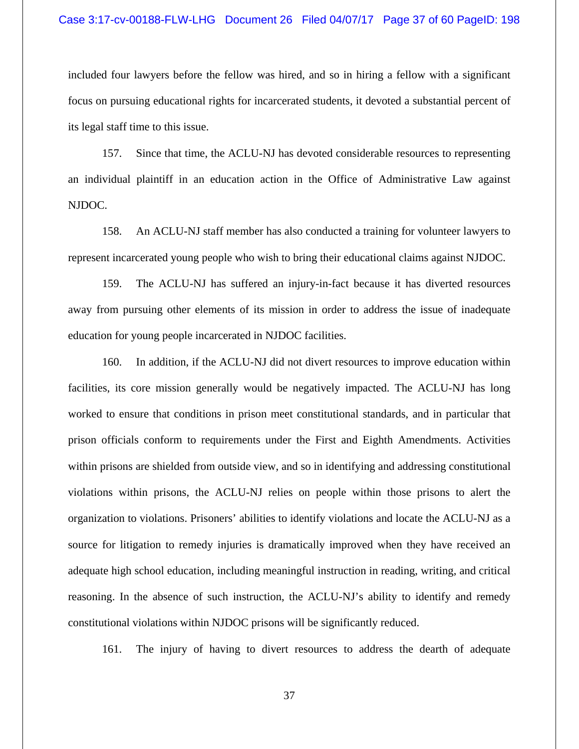included four lawyers before the fellow was hired, and so in hiring a fellow with a significant focus on pursuing educational rights for incarcerated students, it devoted a substantial percent of its legal staff time to this issue.

157. Since that time, the ACLU-NJ has devoted considerable resources to representing an individual plaintiff in an education action in the Office of Administrative Law against NJDOC.

158. An ACLU-NJ staff member has also conducted a training for volunteer lawyers to represent incarcerated young people who wish to bring their educational claims against NJDOC.

159. The ACLU-NJ has suffered an injury-in-fact because it has diverted resources away from pursuing other elements of its mission in order to address the issue of inadequate education for young people incarcerated in NJDOC facilities.

160. In addition, if the ACLU-NJ did not divert resources to improve education within facilities, its core mission generally would be negatively impacted. The ACLU-NJ has long worked to ensure that conditions in prison meet constitutional standards, and in particular that prison officials conform to requirements under the First and Eighth Amendments. Activities within prisons are shielded from outside view, and so in identifying and addressing constitutional violations within prisons, the ACLU-NJ relies on people within those prisons to alert the organization to violations. Prisoners' abilities to identify violations and locate the ACLU-NJ as a source for litigation to remedy injuries is dramatically improved when they have received an adequate high school education, including meaningful instruction in reading, writing, and critical reasoning. In the absence of such instruction, the ACLU-NJ's ability to identify and remedy constitutional violations within NJDOC prisons will be significantly reduced.

161. The injury of having to divert resources to address the dearth of adequate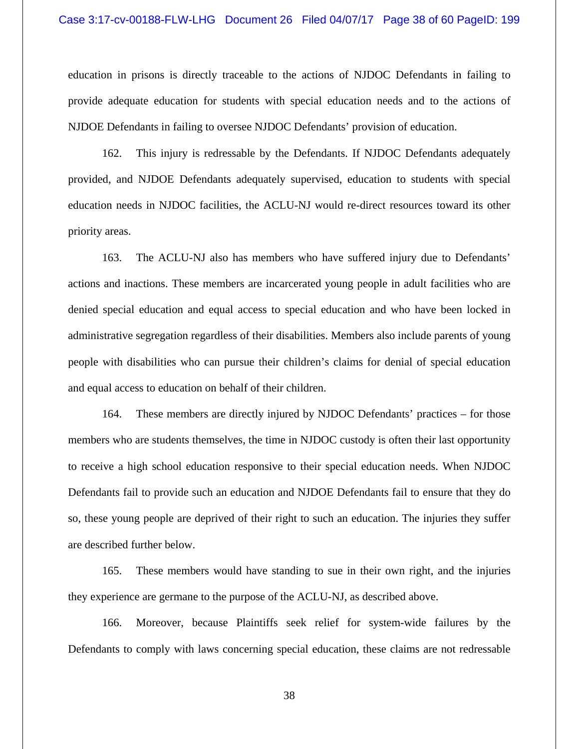education in prisons is directly traceable to the actions of NJDOC Defendants in failing to provide adequate education for students with special education needs and to the actions of NJDOE Defendants in failing to oversee NJDOC Defendants' provision of education.

162. This injury is redressable by the Defendants. If NJDOC Defendants adequately provided, and NJDOE Defendants adequately supervised, education to students with special education needs in NJDOC facilities, the ACLU-NJ would re-direct resources toward its other priority areas.

163. The ACLU-NJ also has members who have suffered injury due to Defendants' actions and inactions. These members are incarcerated young people in adult facilities who are denied special education and equal access to special education and who have been locked in administrative segregation regardless of their disabilities. Members also include parents of young people with disabilities who can pursue their children's claims for denial of special education and equal access to education on behalf of their children.

164. These members are directly injured by NJDOC Defendants' practices – for those members who are students themselves, the time in NJDOC custody is often their last opportunity to receive a high school education responsive to their special education needs. When NJDOC Defendants fail to provide such an education and NJDOE Defendants fail to ensure that they do so, these young people are deprived of their right to such an education. The injuries they suffer are described further below.

165. These members would have standing to sue in their own right, and the injuries they experience are germane to the purpose of the ACLU-NJ, as described above.

166. Moreover, because Plaintiffs seek relief for system-wide failures by the Defendants to comply with laws concerning special education, these claims are not redressable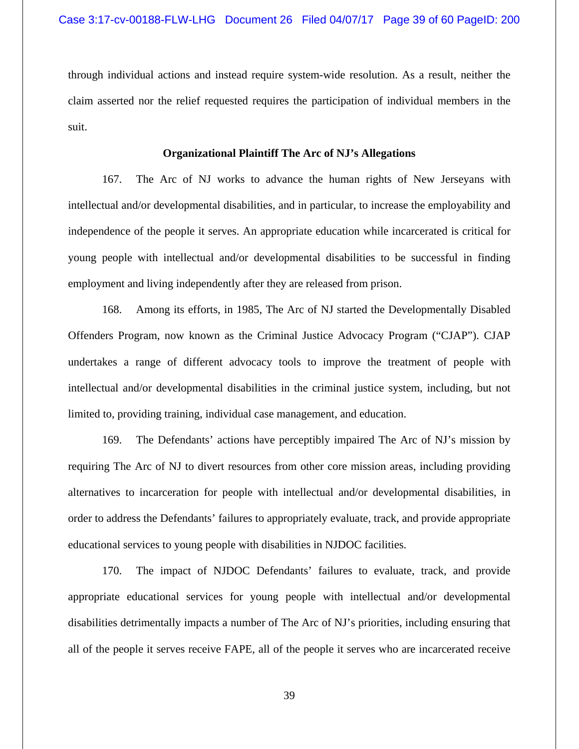through individual actions and instead require system-wide resolution. As a result, neither the claim asserted nor the relief requested requires the participation of individual members in the suit.

## **Organizational Plaintiff The Arc of NJ's Allegations**

167. The Arc of NJ works to advance the human rights of New Jerseyans with intellectual and/or developmental disabilities, and in particular, to increase the employability and independence of the people it serves. An appropriate education while incarcerated is critical for young people with intellectual and/or developmental disabilities to be successful in finding employment and living independently after they are released from prison.

168. Among its efforts, in 1985, The Arc of NJ started the Developmentally Disabled Offenders Program, now known as the Criminal Justice Advocacy Program ("CJAP"). CJAP undertakes a range of different advocacy tools to improve the treatment of people with intellectual and/or developmental disabilities in the criminal justice system, including, but not limited to, providing training, individual case management, and education.

169. The Defendants' actions have perceptibly impaired The Arc of NJ's mission by requiring The Arc of NJ to divert resources from other core mission areas, including providing alternatives to incarceration for people with intellectual and/or developmental disabilities, in order to address the Defendants' failures to appropriately evaluate, track, and provide appropriate educational services to young people with disabilities in NJDOC facilities.

170. The impact of NJDOC Defendants' failures to evaluate, track, and provide appropriate educational services for young people with intellectual and/or developmental disabilities detrimentally impacts a number of The Arc of NJ's priorities, including ensuring that all of the people it serves receive FAPE, all of the people it serves who are incarcerated receive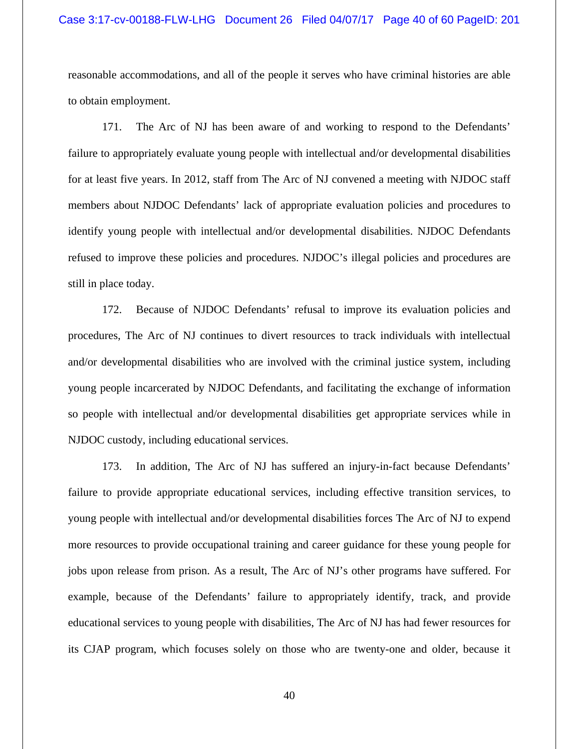reasonable accommodations, and all of the people it serves who have criminal histories are able to obtain employment.

171. The Arc of NJ has been aware of and working to respond to the Defendants' failure to appropriately evaluate young people with intellectual and/or developmental disabilities for at least five years. In 2012, staff from The Arc of NJ convened a meeting with NJDOC staff members about NJDOC Defendants' lack of appropriate evaluation policies and procedures to identify young people with intellectual and/or developmental disabilities. NJDOC Defendants refused to improve these policies and procedures. NJDOC's illegal policies and procedures are still in place today.

172. Because of NJDOC Defendants' refusal to improve its evaluation policies and procedures, The Arc of NJ continues to divert resources to track individuals with intellectual and/or developmental disabilities who are involved with the criminal justice system, including young people incarcerated by NJDOC Defendants, and facilitating the exchange of information so people with intellectual and/or developmental disabilities get appropriate services while in NJDOC custody, including educational services.

173. In addition, The Arc of NJ has suffered an injury-in-fact because Defendants' failure to provide appropriate educational services, including effective transition services, to young people with intellectual and/or developmental disabilities forces The Arc of NJ to expend more resources to provide occupational training and career guidance for these young people for jobs upon release from prison. As a result, The Arc of NJ's other programs have suffered. For example, because of the Defendants' failure to appropriately identify, track, and provide educational services to young people with disabilities, The Arc of NJ has had fewer resources for its CJAP program, which focuses solely on those who are twenty-one and older, because it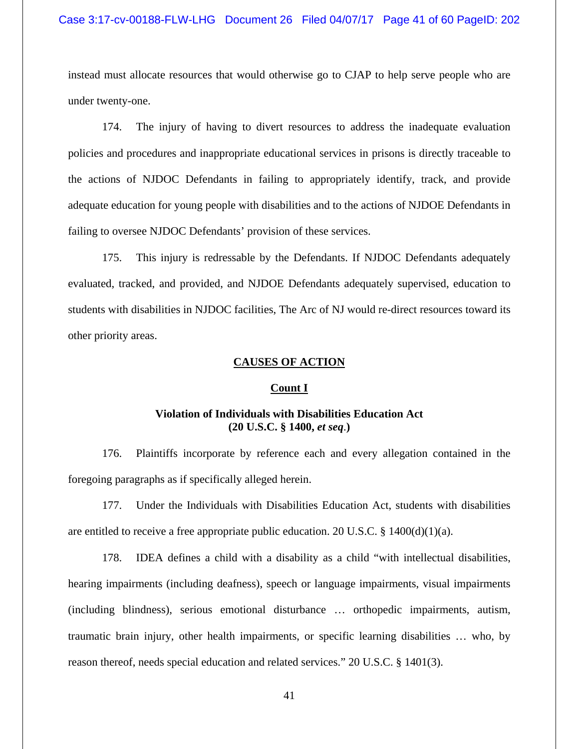instead must allocate resources that would otherwise go to CJAP to help serve people who are under twenty-one.

174. The injury of having to divert resources to address the inadequate evaluation policies and procedures and inappropriate educational services in prisons is directly traceable to the actions of NJDOC Defendants in failing to appropriately identify, track, and provide adequate education for young people with disabilities and to the actions of NJDOE Defendants in failing to oversee NJDOC Defendants' provision of these services.

175. This injury is redressable by the Defendants. If NJDOC Defendants adequately evaluated, tracked, and provided, and NJDOE Defendants adequately supervised, education to students with disabilities in NJDOC facilities, The Arc of NJ would re-direct resources toward its other priority areas.

## **CAUSES OF ACTION**

#### **Count I**

# **Violation of Individuals with Disabilities Education Act** **(20 U.S.C. § 1400,** *et seq*.**)**

176. Plaintiffs incorporate by reference each and every allegation contained in the foregoing paragraphs as if specifically alleged herein.

177. Under the Individuals with Disabilities Education Act, students with disabilities are entitled to receive a free appropriate public education. 20 U.S.C.  $\S$  1400(d)(1)(a).

178. IDEA defines a child with a disability as a child "with intellectual disabilities, hearing impairments (including deafness), speech or language impairments, visual impairments (including blindness), serious emotional disturbance … orthopedic impairments, autism, traumatic brain injury, other health impairments, or specific learning disabilities … who, by reason thereof, needs special education and related services." 20 U.S.C. § 1401(3).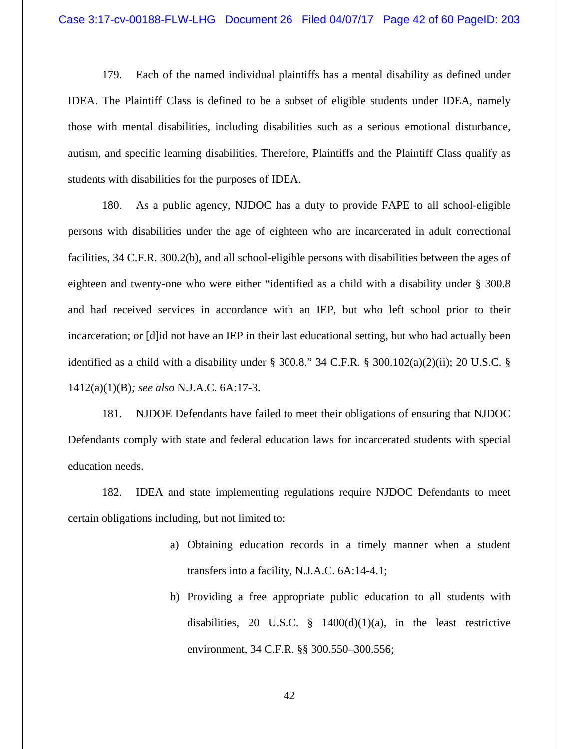179. Each of the named individual plaintiffs has a mental disability as defined under IDEA. The Plaintiff Class is defined to be a subset of eligible students under IDEA, namely those with mental disabilities, including disabilities such as a serious emotional disturbance, autism, and specific learning disabilities. Therefore, Plaintiffs and the Plaintiff Class qualify as students with disabilities for the purposes of IDEA.

180. As a public agency, NJDOC has a duty to provide FAPE to all school-eligible persons with disabilities under the age of eighteen who are incarcerated in adult correctional facilities, 34 C.F.R. 300.2(b), and all school-eligible persons with disabilities between the ages of eighteen and twenty-one who were either "identified as a child with a disability under § 300.8 and had received services in accordance with an IEP, but who left school prior to their incarceration; or [d]id not have an IEP in their last educational setting, but who had actually been identified as a child with a disability under § 300.8." 34 C.F.R. § 300.102(a)(2)(ii); 20 U.S.C. § 1412(a)(1)(B)*; see also* N.J.A.C. 6A:17-3.

181. NJDOE Defendants have failed to meet their obligations of ensuring that NJDOC Defendants comply with state and federal education laws for incarcerated students with special education needs.

182. IDEA and state implementing regulations require NJDOC Defendants to meet certain obligations including, but not limited to:

- a) Obtaining education records in a timely manner when a student transfers into a facility, N.J.A.C. 6A:14-4.1;
- b) Providing a free appropriate public education to all students with disabilities, 20 U.S.C.  $\frac{8}{9}$  1400(d)(1)(a), in the least restrictive environment, 34 C.F.R. §§ 300.550–300.556;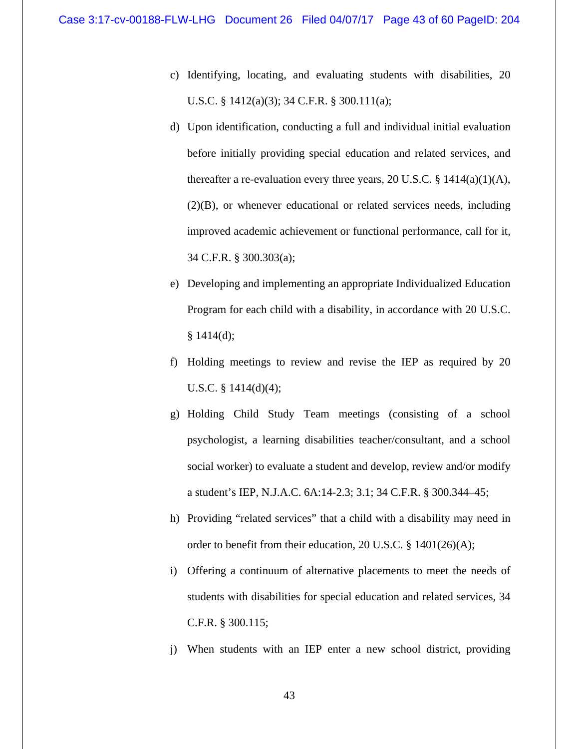- c) Identifying, locating, and evaluating students with disabilities, 20 U.S.C. § 1412(a)(3); 34 C.F.R. § 300.111(a);
- d) Upon identification, conducting a full and individual initial evaluation before initially providing special education and related services, and thereafter a re-evaluation every three years, 20 U.S.C.  $\S$  1414(a)(1)(A), (2)(B), or whenever educational or related services needs, including improved academic achievement or functional performance, call for it, 34 C.F.R. § 300.303(a);
- e) Developing and implementing an appropriate Individualized Education Program for each child with a disability, in accordance with 20 U.S.C.  $§ 1414(d);$
- f) Holding meetings to review and revise the IEP as required by 20 U.S.C. § 1414(d)(4);
- g) Holding Child Study Team meetings (consisting of a school psychologist, a learning disabilities teacher/consultant, and a school social worker) to evaluate a student and develop, review and/or modify a student's IEP, N.J.A.C. 6A:14-2.3; 3.1; 34 C.F.R. § 300.344–45;
- h) Providing "related services" that a child with a disability may need in order to benefit from their education, 20 U.S.C. § 1401(26)(A);
- i) Offering a continuum of alternative placements to meet the needs of students with disabilities for special education and related services, 34 C.F.R. § 300.115;
- j) When students with an IEP enter a new school district, providing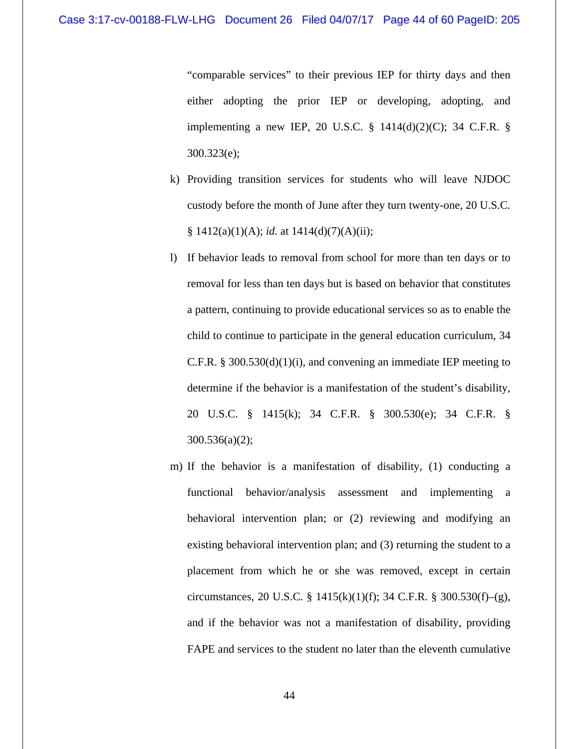"comparable services" to their previous IEP for thirty days and then either adopting the prior IEP or developing, adopting, and implementing a new IEP, 20 U.S.C. § 1414(d)(2)(C); 34 C.F.R. § 300.323(e);

- k) Providing transition services for students who will leave NJDOC custody before the month of June after they turn twenty-one, 20 U.S.C. § 1412(a)(1)(A); *id.* at 1414(d)(7)(A)(ii);
- l) If behavior leads to removal from school for more than ten days or to removal for less than ten days but is based on behavior that constitutes a pattern, continuing to provide educational services so as to enable the child to continue to participate in the general education curriculum, 34 C.F.R. § 300.530(d)(1)(i), and convening an immediate IEP meeting to determine if the behavior is a manifestation of the student's disability, 20 U.S.C. § 1415(k); 34 C.F.R. § 300.530(e); 34 C.F.R. § 300.536(a)(2);
- m) If the behavior is a manifestation of disability, (1) conducting a functional behavior/analysis assessment and implementing a behavioral intervention plan; or (2) reviewing and modifying an existing behavioral intervention plan; and (3) returning the student to a placement from which he or she was removed, except in certain circumstances, 20 U.S.C. § 1415(k)(1)(f); 34 C.F.R. § 300.530(f)–(g), and if the behavior was not a manifestation of disability, providing FAPE and services to the student no later than the eleventh cumulative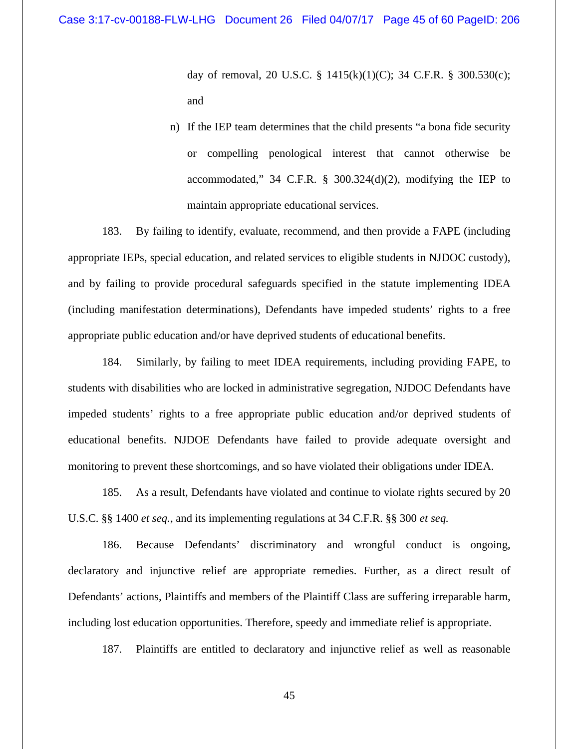day of removal, 20 U.S.C. § 1415(k)(1)(C); 34 C.F.R. § 300.530(c); and

n) If the IEP team determines that the child presents "a bona fide security or compelling penological interest that cannot otherwise be accommodated,"  $34$  C.F.R. §  $300.324(d)(2)$ , modifying the IEP to maintain appropriate educational services.

183. By failing to identify, evaluate, recommend, and then provide a FAPE (including appropriate IEPs, special education, and related services to eligible students in NJDOC custody), and by failing to provide procedural safeguards specified in the statute implementing IDEA (including manifestation determinations), Defendants have impeded students' rights to a free appropriate public education and/or have deprived students of educational benefits.

184. Similarly, by failing to meet IDEA requirements, including providing FAPE, to students with disabilities who are locked in administrative segregation, NJDOC Defendants have impeded students' rights to a free appropriate public education and/or deprived students of educational benefits. NJDOE Defendants have failed to provide adequate oversight and monitoring to prevent these shortcomings, and so have violated their obligations under IDEA.

185. As a result, Defendants have violated and continue to violate rights secured by 20 U.S.C. §§ 1400 *et seq.*, and its implementing regulations at 34 C.F.R. §§ 300 *et seq.*

186. Because Defendants' discriminatory and wrongful conduct is ongoing, declaratory and injunctive relief are appropriate remedies. Further, as a direct result of Defendants' actions, Plaintiffs and members of the Plaintiff Class are suffering irreparable harm, including lost education opportunities. Therefore, speedy and immediate relief is appropriate.

187. Plaintiffs are entitled to declaratory and injunctive relief as well as reasonable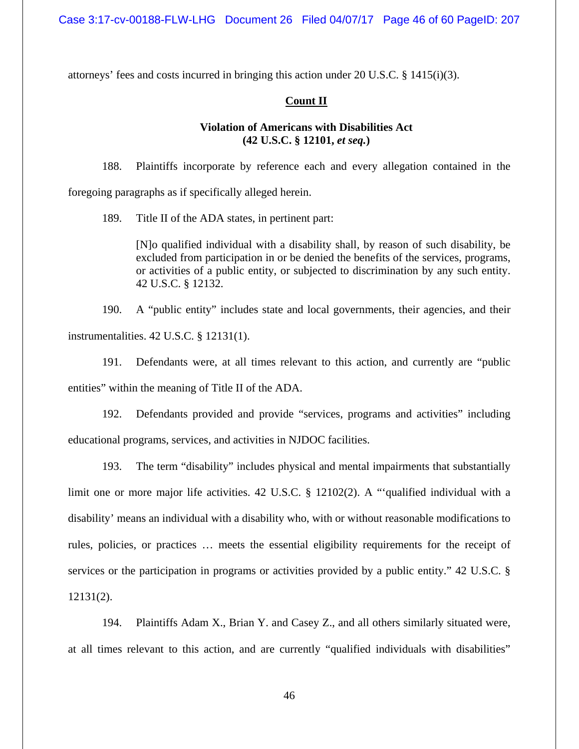attorneys' fees and costs incurred in bringing this action under 20 U.S.C. § 1415(i)(3).

## **Count II**

# **Violation of Americans with Disabilities Act (42 U.S.C. § 12101,** *et seq.***)**

188. Plaintiffs incorporate by reference each and every allegation contained in the foregoing paragraphs as if specifically alleged herein.

189. Title II of the ADA states, in pertinent part:

[N]o qualified individual with a disability shall, by reason of such disability, be excluded from participation in or be denied the benefits of the services, programs, or activities of a public entity, or subjected to discrimination by any such entity. 42 U.S.C. § 12132.

190. A "public entity" includes state and local governments, their agencies, and their instrumentalities. 42 U.S.C. § 12131(1).

191. Defendants were, at all times relevant to this action, and currently are "public entities" within the meaning of Title II of the ADA.

192. Defendants provided and provide "services, programs and activities" including educational programs, services, and activities in NJDOC facilities.

193. The term "disability" includes physical and mental impairments that substantially limit one or more major life activities. 42 U.S.C. § 12102(2). A "'qualified individual with a disability' means an individual with a disability who, with or without reasonable modifications to rules, policies, or practices … meets the essential eligibility requirements for the receipt of services or the participation in programs or activities provided by a public entity." 42 U.S.C. § 12131(2).

194. Plaintiffs Adam X., Brian Y. and Casey Z., and all others similarly situated were, at all times relevant to this action, and are currently "qualified individuals with disabilities"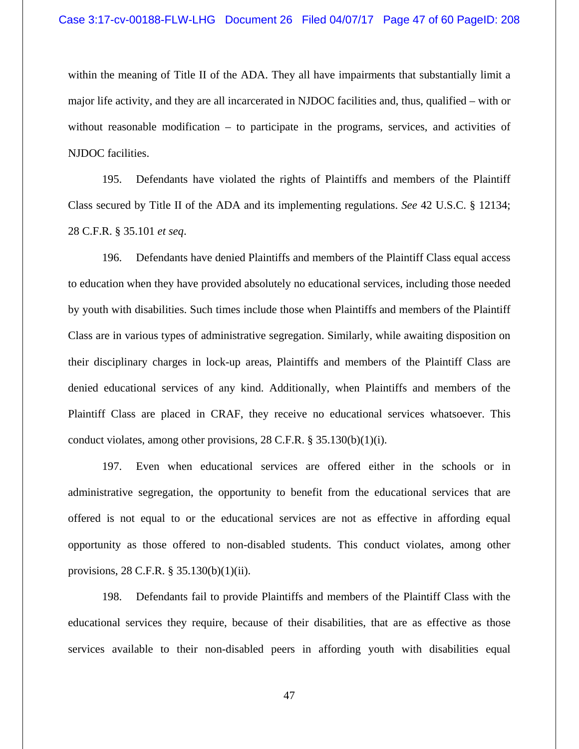within the meaning of Title II of the ADA. They all have impairments that substantially limit a major life activity, and they are all incarcerated in NJDOC facilities and, thus, qualified – with or without reasonable modification – to participate in the programs, services, and activities of NJDOC facilities.

195. Defendants have violated the rights of Plaintiffs and members of the Plaintiff Class secured by Title II of the ADA and its implementing regulations. *See* 42 U.S.C. § 12134; 28 C.F.R. § 35.101 *et seq*.

196. Defendants have denied Plaintiffs and members of the Plaintiff Class equal access to education when they have provided absolutely no educational services, including those needed by youth with disabilities. Such times include those when Plaintiffs and members of the Plaintiff Class are in various types of administrative segregation. Similarly, while awaiting disposition on their disciplinary charges in lock-up areas, Plaintiffs and members of the Plaintiff Class are denied educational services of any kind. Additionally, when Plaintiffs and members of the Plaintiff Class are placed in CRAF, they receive no educational services whatsoever. This conduct violates, among other provisions,  $28$  C.F.R. § 35.130(b)(1)(i).

197. Even when educational services are offered either in the schools or in administrative segregation, the opportunity to benefit from the educational services that are offered is not equal to or the educational services are not as effective in affording equal opportunity as those offered to non-disabled students. This conduct violates, among other provisions, 28 C.F.R. § 35.130(b)(1)(ii).

198. Defendants fail to provide Plaintiffs and members of the Plaintiff Class with the educational services they require, because of their disabilities, that are as effective as those services available to their non-disabled peers in affording youth with disabilities equal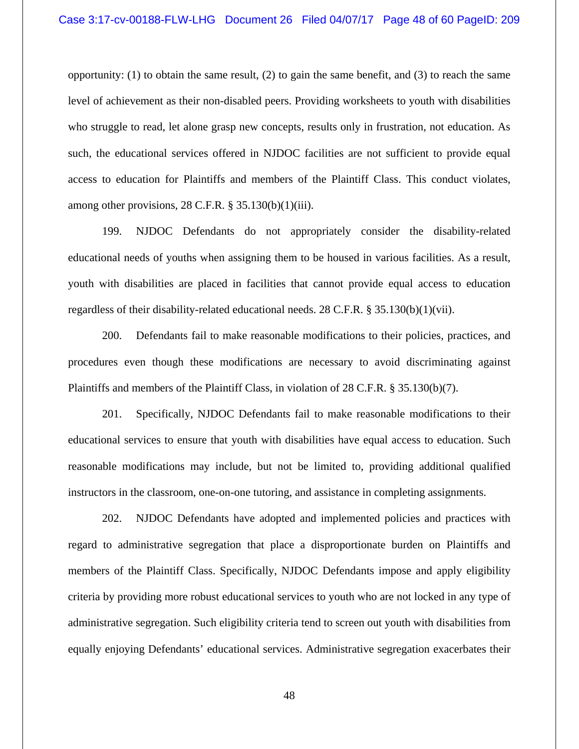opportunity: (1) to obtain the same result, (2) to gain the same benefit, and (3) to reach the same level of achievement as their non-disabled peers. Providing worksheets to youth with disabilities who struggle to read, let alone grasp new concepts, results only in frustration, not education. As such, the educational services offered in NJDOC facilities are not sufficient to provide equal access to education for Plaintiffs and members of the Plaintiff Class. This conduct violates, among other provisions,  $28$  C.F.R. §  $35.130(b)(1)(iii)$ .

199. NJDOC Defendants do not appropriately consider the disability-related educational needs of youths when assigning them to be housed in various facilities. As a result, youth with disabilities are placed in facilities that cannot provide equal access to education regardless of their disability-related educational needs. 28 C.F.R. § 35.130(b)(1)(vii).

200. Defendants fail to make reasonable modifications to their policies, practices, and procedures even though these modifications are necessary to avoid discriminating against Plaintiffs and members of the Plaintiff Class, in violation of 28 C.F.R. § 35.130(b)(7).

201. Specifically, NJDOC Defendants fail to make reasonable modifications to their educational services to ensure that youth with disabilities have equal access to education. Such reasonable modifications may include, but not be limited to, providing additional qualified instructors in the classroom, one-on-one tutoring, and assistance in completing assignments.

202. NJDOC Defendants have adopted and implemented policies and practices with regard to administrative segregation that place a disproportionate burden on Plaintiffs and members of the Plaintiff Class. Specifically, NJDOC Defendants impose and apply eligibility criteria by providing more robust educational services to youth who are not locked in any type of administrative segregation. Such eligibility criteria tend to screen out youth with disabilities from equally enjoying Defendants' educational services. Administrative segregation exacerbates their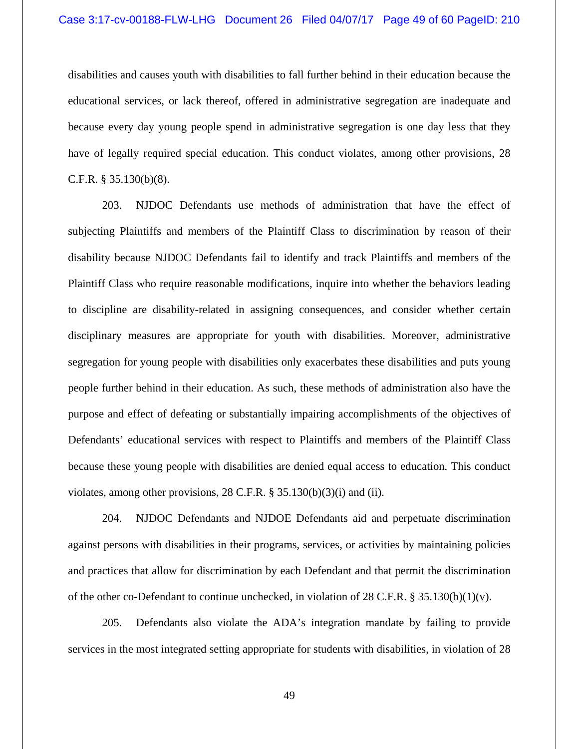disabilities and causes youth with disabilities to fall further behind in their education because the educational services, or lack thereof, offered in administrative segregation are inadequate and because every day young people spend in administrative segregation is one day less that they have of legally required special education. This conduct violates, among other provisions, 28 C.F.R. § 35.130(b)(8).

203. NJDOC Defendants use methods of administration that have the effect of subjecting Plaintiffs and members of the Plaintiff Class to discrimination by reason of their disability because NJDOC Defendants fail to identify and track Plaintiffs and members of the Plaintiff Class who require reasonable modifications, inquire into whether the behaviors leading to discipline are disability-related in assigning consequences, and consider whether certain disciplinary measures are appropriate for youth with disabilities. Moreover, administrative segregation for young people with disabilities only exacerbates these disabilities and puts young people further behind in their education. As such, these methods of administration also have the purpose and effect of defeating or substantially impairing accomplishments of the objectives of Defendants' educational services with respect to Plaintiffs and members of the Plaintiff Class because these young people with disabilities are denied equal access to education. This conduct violates, among other provisions, 28 C.F.R. § 35.130(b)(3)(i) and (ii).

204. NJDOC Defendants and NJDOE Defendants aid and perpetuate discrimination against persons with disabilities in their programs, services, or activities by maintaining policies and practices that allow for discrimination by each Defendant and that permit the discrimination of the other co-Defendant to continue unchecked, in violation of 28 C.F.R. § 35.130(b)(1)(v).

205. Defendants also violate the ADA's integration mandate by failing to provide services in the most integrated setting appropriate for students with disabilities, in violation of 28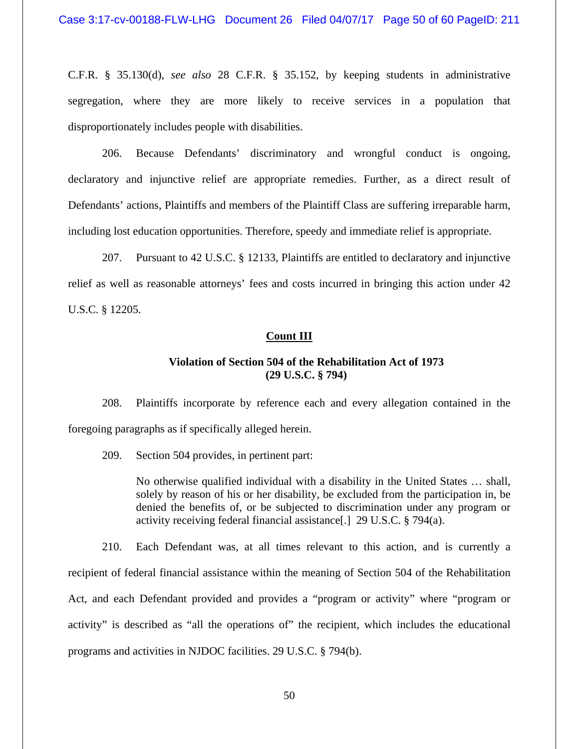C.F.R. § 35.130(d), *see also* 28 C.F.R. § 35.152, by keeping students in administrative segregation, where they are more likely to receive services in a population that disproportionately includes people with disabilities.

206. Because Defendants' discriminatory and wrongful conduct is ongoing, declaratory and injunctive relief are appropriate remedies. Further, as a direct result of Defendants' actions, Plaintiffs and members of the Plaintiff Class are suffering irreparable harm, including lost education opportunities. Therefore, speedy and immediate relief is appropriate.

207. Pursuant to 42 U.S.C. § 12133, Plaintiffs are entitled to declaratory and injunctive relief as well as reasonable attorneys' fees and costs incurred in bringing this action under 42 U.S.C. § 12205.

#### **Count III**

## **Violation of Section 504 of the Rehabilitation Act of 1973 (29 U.S.C. § 794)**

208. Plaintiffs incorporate by reference each and every allegation contained in the foregoing paragraphs as if specifically alleged herein.

209. Section 504 provides, in pertinent part:

No otherwise qualified individual with a disability in the United States … shall, solely by reason of his or her disability, be excluded from the participation in, be denied the benefits of, or be subjected to discrimination under any program or activity receiving federal financial assistance[.] 29 U.S.C. § 794(a).

210. Each Defendant was, at all times relevant to this action, and is currently a recipient of federal financial assistance within the meaning of Section 504 of the Rehabilitation Act, and each Defendant provided and provides a "program or activity" where "program or activity" is described as "all the operations of" the recipient, which includes the educational programs and activities in NJDOC facilities. 29 U.S.C. § 794(b).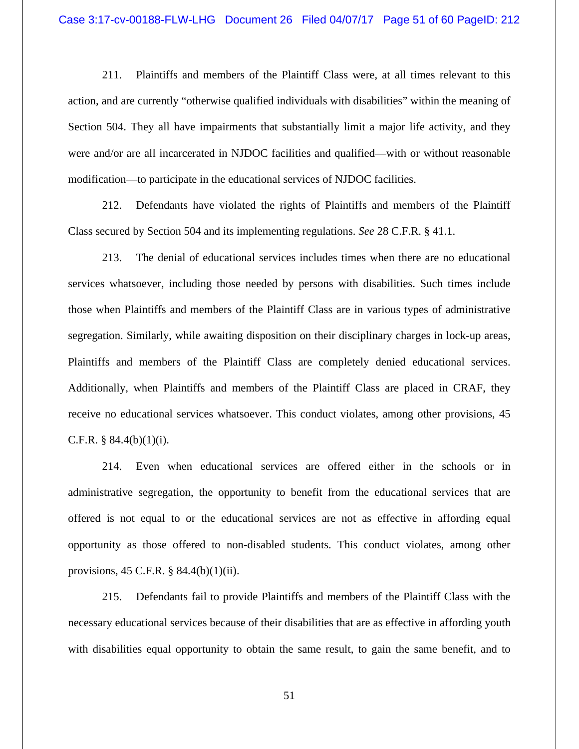211. Plaintiffs and members of the Plaintiff Class were, at all times relevant to this action, and are currently "otherwise qualified individuals with disabilities" within the meaning of Section 504. They all have impairments that substantially limit a major life activity, and they were and/or are all incarcerated in NJDOC facilities and qualified—with or without reasonable modification—to participate in the educational services of NJDOC facilities.

212. Defendants have violated the rights of Plaintiffs and members of the Plaintiff Class secured by Section 504 and its implementing regulations. *See* 28 C.F.R. § 41.1.

213. The denial of educational services includes times when there are no educational services whatsoever, including those needed by persons with disabilities. Such times include those when Plaintiffs and members of the Plaintiff Class are in various types of administrative segregation. Similarly, while awaiting disposition on their disciplinary charges in lock-up areas, Plaintiffs and members of the Plaintiff Class are completely denied educational services. Additionally, when Plaintiffs and members of the Plaintiff Class are placed in CRAF, they receive no educational services whatsoever. This conduct violates, among other provisions, 45 C.F.R.  $§ 84.4(b)(1)(i)$ .

214. Even when educational services are offered either in the schools or in administrative segregation, the opportunity to benefit from the educational services that are offered is not equal to or the educational services are not as effective in affording equal opportunity as those offered to non-disabled students. This conduct violates, among other provisions, 45 C.F.R. § 84.4(b)(1)(ii).

215. Defendants fail to provide Plaintiffs and members of the Plaintiff Class with the necessary educational services because of their disabilities that are as effective in affording youth with disabilities equal opportunity to obtain the same result, to gain the same benefit, and to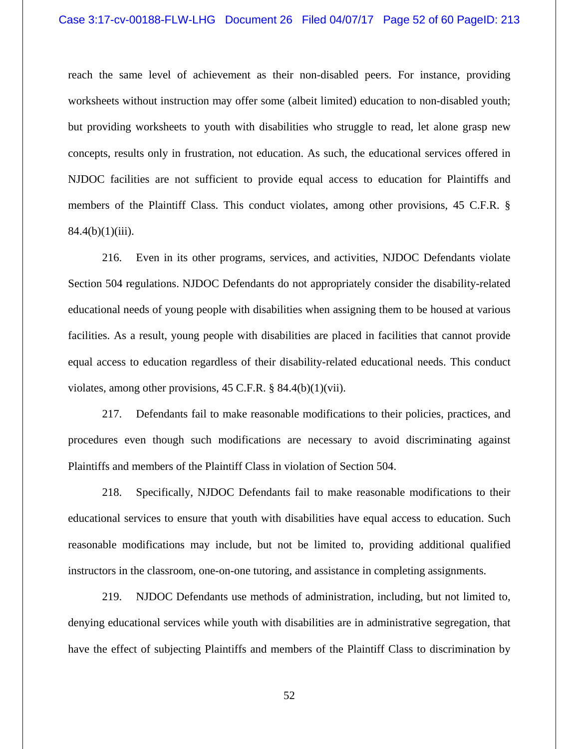## Case 3:17-cv-00188-FLW-LHG Document 26 Filed 04/07/17 Page 52 of 60 PageID: 213

reach the same level of achievement as their non-disabled peers. For instance, providing worksheets without instruction may offer some (albeit limited) education to non-disabled youth; but providing worksheets to youth with disabilities who struggle to read, let alone grasp new concepts, results only in frustration, not education. As such, the educational services offered in NJDOC facilities are not sufficient to provide equal access to education for Plaintiffs and members of the Plaintiff Class. This conduct violates, among other provisions, 45 C.F.R. §  $84.4(b)(1)(iii)$ .

216. Even in its other programs, services, and activities, NJDOC Defendants violate Section 504 regulations. NJDOC Defendants do not appropriately consider the disability-related educational needs of young people with disabilities when assigning them to be housed at various facilities. As a result, young people with disabilities are placed in facilities that cannot provide equal access to education regardless of their disability-related educational needs. This conduct violates, among other provisions, 45 C.F.R. § 84.4(b)(1)(vii).

217. Defendants fail to make reasonable modifications to their policies, practices, and procedures even though such modifications are necessary to avoid discriminating against Plaintiffs and members of the Plaintiff Class in violation of Section 504.

218. Specifically, NJDOC Defendants fail to make reasonable modifications to their educational services to ensure that youth with disabilities have equal access to education. Such reasonable modifications may include, but not be limited to, providing additional qualified instructors in the classroom, one-on-one tutoring, and assistance in completing assignments.

219. NJDOC Defendants use methods of administration, including, but not limited to, denying educational services while youth with disabilities are in administrative segregation, that have the effect of subjecting Plaintiffs and members of the Plaintiff Class to discrimination by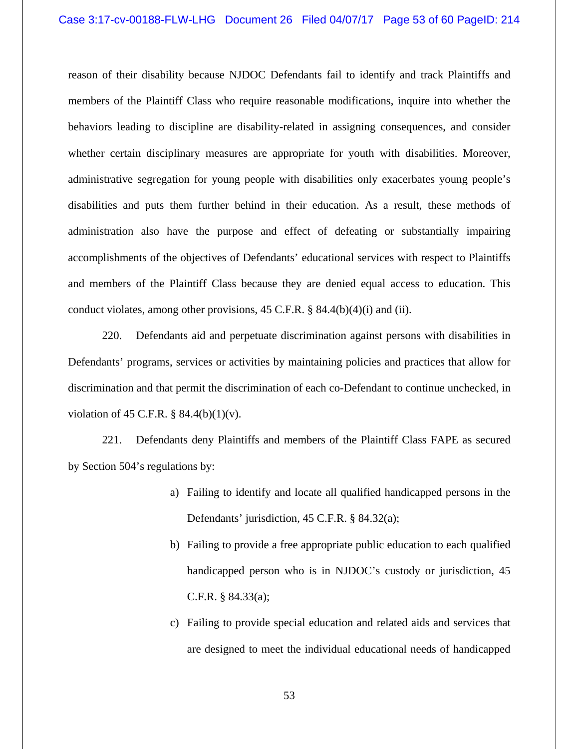reason of their disability because NJDOC Defendants fail to identify and track Plaintiffs and members of the Plaintiff Class who require reasonable modifications, inquire into whether the behaviors leading to discipline are disability-related in assigning consequences, and consider whether certain disciplinary measures are appropriate for youth with disabilities. Moreover, administrative segregation for young people with disabilities only exacerbates young people's disabilities and puts them further behind in their education. As a result, these methods of administration also have the purpose and effect of defeating or substantially impairing accomplishments of the objectives of Defendants' educational services with respect to Plaintiffs and members of the Plaintiff Class because they are denied equal access to education. This conduct violates, among other provisions, 45 C.F.R. § 84.4(b)(4)(i) and (ii).

220. Defendants aid and perpetuate discrimination against persons with disabilities in Defendants' programs, services or activities by maintaining policies and practices that allow for discrimination and that permit the discrimination of each co-Defendant to continue unchecked, in violation of 45 C.F.R.  $\S$  84.4(b)(1)(v).

221. Defendants deny Plaintiffs and members of the Plaintiff Class FAPE as secured by Section 504's regulations by:

- a) Failing to identify and locate all qualified handicapped persons in the Defendants' jurisdiction, 45 C.F.R. § 84.32(a);
- b) Failing to provide a free appropriate public education to each qualified handicapped person who is in NJDOC's custody or jurisdiction, 45 C.F.R. § 84.33(a);
- c) Failing to provide special education and related aids and services that are designed to meet the individual educational needs of handicapped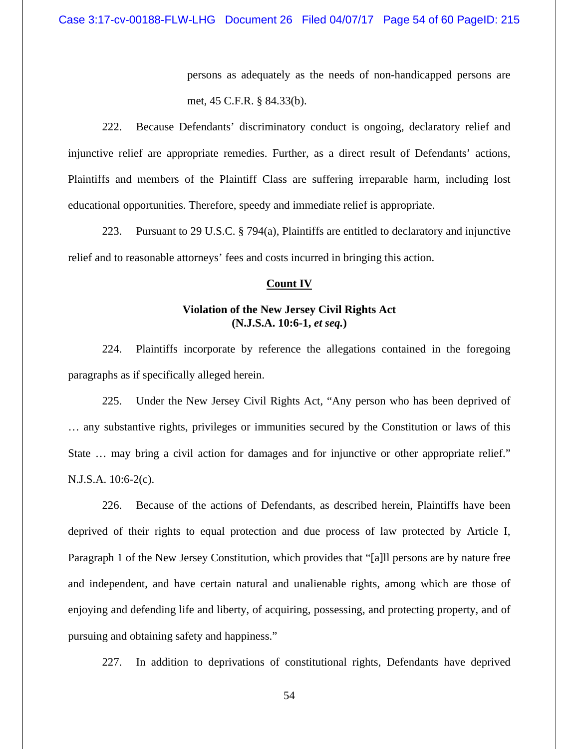persons as adequately as the needs of non-handicapped persons are met, 45 C.F.R. § 84.33(b).

222. Because Defendants' discriminatory conduct is ongoing, declaratory relief and injunctive relief are appropriate remedies. Further, as a direct result of Defendants' actions, Plaintiffs and members of the Plaintiff Class are suffering irreparable harm, including lost educational opportunities. Therefore, speedy and immediate relief is appropriate.

223. Pursuant to 29 U.S.C. § 794(a), Plaintiffs are entitled to declaratory and injunctive relief and to reasonable attorneys' fees and costs incurred in bringing this action.

## **Count IV**

# **Violation of the New Jersey Civil Rights Act (N.J.S.A. 10:6-1,** *et seq.***)**

224. Plaintiffs incorporate by reference the allegations contained in the foregoing paragraphs as if specifically alleged herein.

225. Under the New Jersey Civil Rights Act, "Any person who has been deprived of … any substantive rights, privileges or immunities secured by the Constitution or laws of this State … may bring a civil action for damages and for injunctive or other appropriate relief." N.J.S.A. 10:6-2(c).

226. Because of the actions of Defendants, as described herein, Plaintiffs have been deprived of their rights to equal protection and due process of law protected by Article I, Paragraph 1 of the New Jersey Constitution, which provides that "[a]ll persons are by nature free and independent, and have certain natural and unalienable rights, among which are those of enjoying and defending life and liberty, of acquiring, possessing, and protecting property, and of pursuing and obtaining safety and happiness."

227. In addition to deprivations of constitutional rights, Defendants have deprived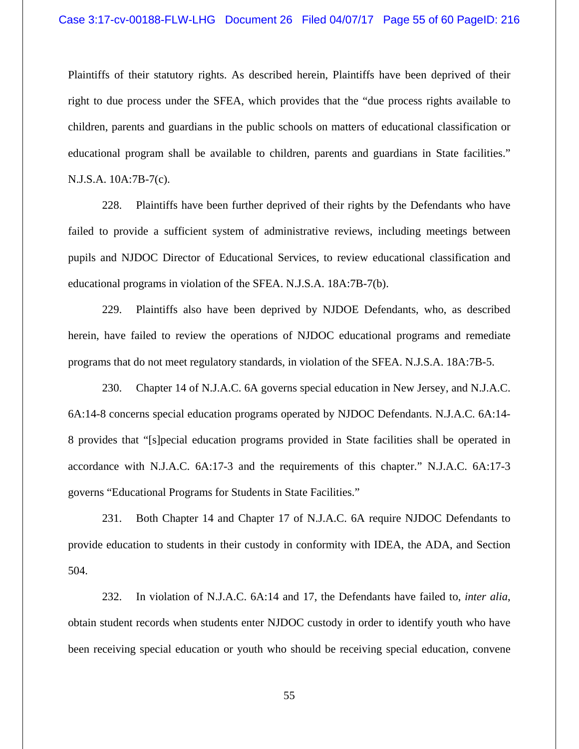Plaintiffs of their statutory rights. As described herein, Plaintiffs have been deprived of their right to due process under the SFEA, which provides that the "due process rights available to children, parents and guardians in the public schools on matters of educational classification or educational program shall be available to children, parents and guardians in State facilities." N.J.S.A. 10A:7B-7(c).

228. Plaintiffs have been further deprived of their rights by the Defendants who have failed to provide a sufficient system of administrative reviews, including meetings between pupils and NJDOC Director of Educational Services, to review educational classification and educational programs in violation of the SFEA. N.J.S.A. 18A:7B-7(b).

229. Plaintiffs also have been deprived by NJDOE Defendants, who, as described herein, have failed to review the operations of NJDOC educational programs and remediate programs that do not meet regulatory standards, in violation of the SFEA. N.J.S.A. 18A:7B-5.

230. Chapter 14 of N.J.A.C. 6A governs special education in New Jersey, and N.J.A.C. 6A:14-8 concerns special education programs operated by NJDOC Defendants. N.J.A.C. 6A:14- 8 provides that "[s]pecial education programs provided in State facilities shall be operated in accordance with N.J.A.C. 6A:17-3 and the requirements of this chapter." N.J.A.C. 6A:17-3 governs "Educational Programs for Students in State Facilities."

231. Both Chapter 14 and Chapter 17 of N.J.A.C. 6A require NJDOC Defendants to provide education to students in their custody in conformity with IDEA, the ADA, and Section 504.

232. In violation of N.J.A.C. 6A:14 and 17, the Defendants have failed to, *inter alia*, obtain student records when students enter NJDOC custody in order to identify youth who have been receiving special education or youth who should be receiving special education, convene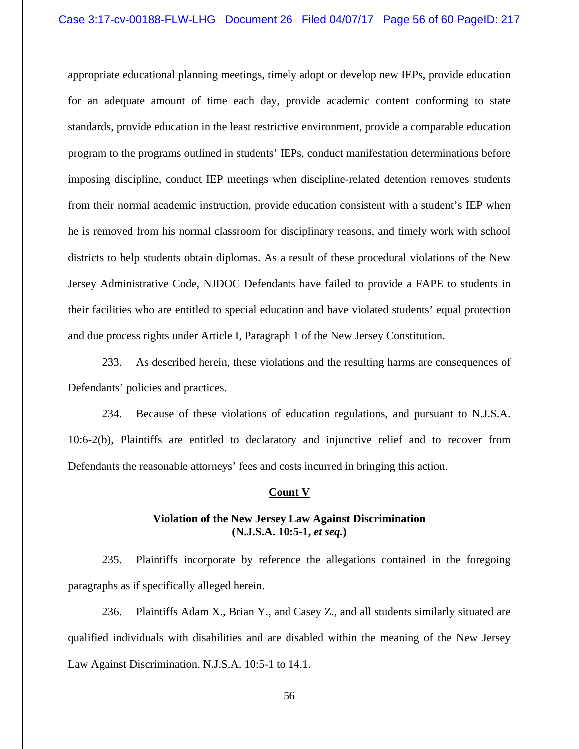appropriate educational planning meetings, timely adopt or develop new IEPs, provide education for an adequate amount of time each day, provide academic content conforming to state standards, provide education in the least restrictive environment, provide a comparable education program to the programs outlined in students' IEPs, conduct manifestation determinations before imposing discipline, conduct IEP meetings when discipline-related detention removes students from their normal academic instruction, provide education consistent with a student's IEP when he is removed from his normal classroom for disciplinary reasons, and timely work with school districts to help students obtain diplomas. As a result of these procedural violations of the New Jersey Administrative Code, NJDOC Defendants have failed to provide a FAPE to students in their facilities who are entitled to special education and have violated students' equal protection and due process rights under Article I, Paragraph 1 of the New Jersey Constitution.

233. As described herein, these violations and the resulting harms are consequences of Defendants' policies and practices.

234. Because of these violations of education regulations, and pursuant to N.J.S.A. 10:6-2(b), Plaintiffs are entitled to declaratory and injunctive relief and to recover from Defendants the reasonable attorneys' fees and costs incurred in bringing this action.

#### **Count V**

# **Violation of the New Jersey Law Against Discrimination (N.J.S.A. 10:5-1,** *et seq.***)**

235. Plaintiffs incorporate by reference the allegations contained in the foregoing paragraphs as if specifically alleged herein.

236. Plaintiffs Adam X., Brian Y., and Casey Z., and all students similarly situated are qualified individuals with disabilities and are disabled within the meaning of the New Jersey Law Against Discrimination. N.J.S.A. 10:5-1 to 14.1.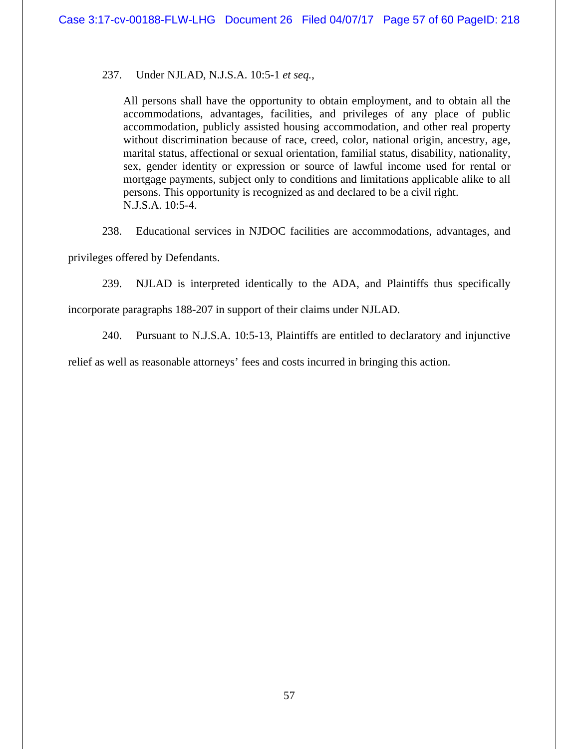237. Under NJLAD, N.J.S.A. 10:5-1 *et seq.*,

All persons shall have the opportunity to obtain employment, and to obtain all the accommodations, advantages, facilities, and privileges of any place of public accommodation, publicly assisted housing accommodation, and other real property without discrimination because of race, creed, color, national origin, ancestry, age, marital status, affectional or sexual orientation, familial status, disability, nationality, sex, gender identity or expression or source of lawful income used for rental or mortgage payments, subject only to conditions and limitations applicable alike to all persons. This opportunity is recognized as and declared to be a civil right. N.J.S.A. 10:5-4.

238. Educational services in NJDOC facilities are accommodations, advantages, and privileges offered by Defendants.

239. NJLAD is interpreted identically to the ADA, and Plaintiffs thus specifically

incorporate paragraphs 188-207 in support of their claims under NJLAD.

240. Pursuant to N.J.S.A. 10:5-13, Plaintiffs are entitled to declaratory and injunctive

relief as well as reasonable attorneys' fees and costs incurred in bringing this action.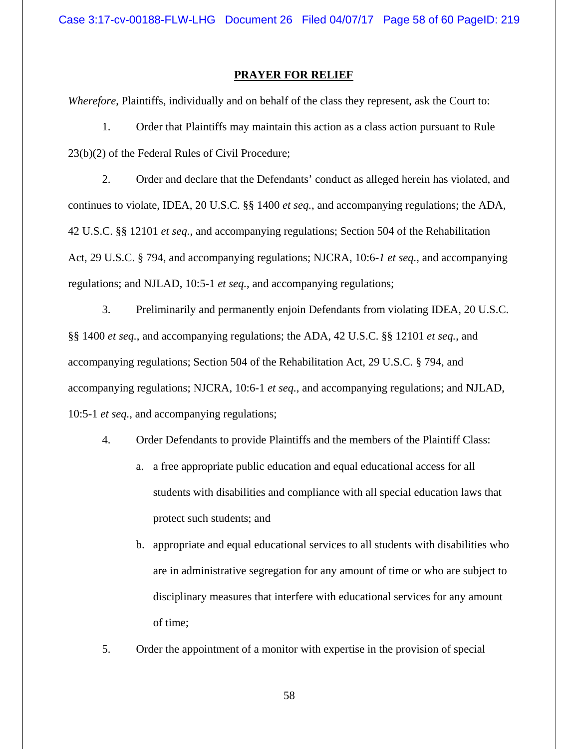## **PRAYER FOR RELIEF**

*Wherefore*, Plaintiffs, individually and on behalf of the class they represent, ask the Court to:

1. Order that Plaintiffs may maintain this action as a class action pursuant to Rule 23(b)(2) of the Federal Rules of Civil Procedure;

2. Order and declare that the Defendants' conduct as alleged herein has violated, and continues to violate, IDEA, 20 U.S.C. §§ 1400 *et seq.*, and accompanying regulations; the ADA, 42 U.S.C. §§ 12101 *et seq.*, and accompanying regulations; Section 504 of the Rehabilitation Act, 29 U.S.C. § 794, and accompanying regulations; NJCRA, 10:6-*1 et seq.*, and accompanying regulations; and NJLAD, 10:5-1 *et seq.*, and accompanying regulations;

3. Preliminarily and permanently enjoin Defendants from violating IDEA, 20 U.S.C. §§ 1400 *et seq.*, and accompanying regulations; the ADA, 42 U.S.C. §§ 12101 *et seq.*, and accompanying regulations; Section 504 of the Rehabilitation Act, 29 U.S.C. § 794, and accompanying regulations; NJCRA, 10:6-1 *et seq.*, and accompanying regulations; and NJLAD, 10:5-1 *et seq.*, and accompanying regulations;

4. Order Defendants to provide Plaintiffs and the members of the Plaintiff Class:

- a. a free appropriate public education and equal educational access for all students with disabilities and compliance with all special education laws that protect such students; and
- b. appropriate and equal educational services to all students with disabilities who are in administrative segregation for any amount of time or who are subject to disciplinary measures that interfere with educational services for any amount of time;
- 5. Order the appointment of a monitor with expertise in the provision of special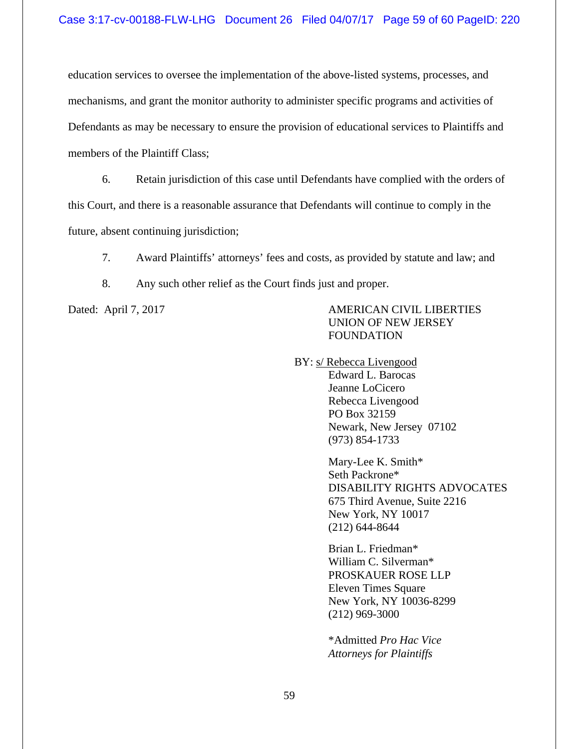education services to oversee the implementation of the above-listed systems, processes, and mechanisms, and grant the monitor authority to administer specific programs and activities of Defendants as may be necessary to ensure the provision of educational services to Plaintiffs and members of the Plaintiff Class;

6. Retain jurisdiction of this case until Defendants have complied with the orders of this Court, and there is a reasonable assurance that Defendants will continue to comply in the future, absent continuing jurisdiction;

7. Award Plaintiffs' attorneys' fees and costs, as provided by statute and law; and

8. Any such other relief as the Court finds just and proper.

Dated: April 7, 2017 AMERICAN CIVIL LIBERTIES UNION OF NEW JERSEY FOUNDATION

BY: s/ Rebecca Livengood

Edward L. Barocas Jeanne LoCicero Rebecca Livengood PO Box 32159 Newark, New Jersey 07102 (973) 854-1733

 Mary-Lee K. Smith\* Seth Packrone\* DISABILITY RIGHTS ADVOCATES 675 Third Avenue, Suite 2216 New York, NY 10017 (212) 644-8644

 Brian L. Friedman\* William C. Silverman\* PROSKAUER ROSE LLP Eleven Times Square New York, NY 10036-8299 (212) 969-3000

\*Admitted *Pro Hac Vice Attorneys for Plaintiffs*